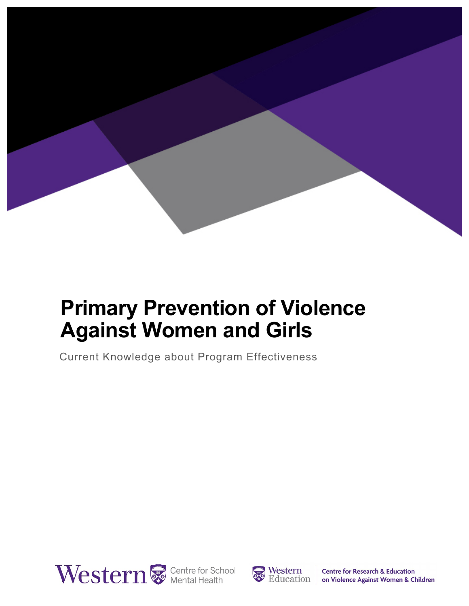

## **Primary Prevention of Violence Against Women and Girls**

Current Knowledge about Program Effectiveness





**Centre for Research & Education** on Violence Against Women & Children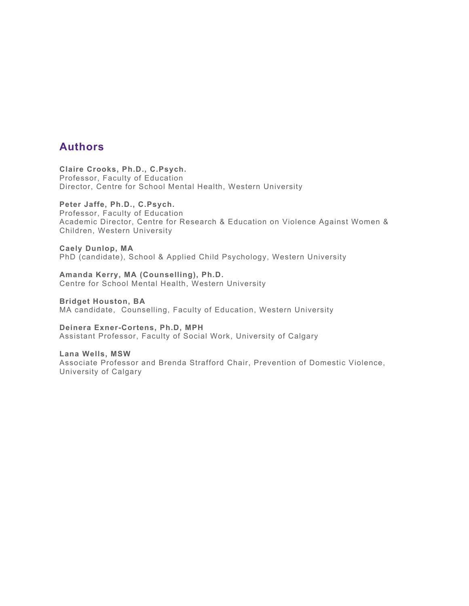#### **Authors**

**Claire Crooks, Ph.D., C.Psych.** Professor, Faculty of Education Director, Centre for School Mental Health, Western University

#### **Peter Jaffe, Ph.D., C.Psych.**

Professor, Faculty of Education Academic Director, Centre for Research & Education on Violence Against Women & Children, Western University

**Caely Dunlop, MA**  PhD (candidate), School & Applied Child Psychology, Western University

**Amanda Kerry, MA (Counselling), Ph.D.** Centre for School Mental Health, Western University

**Bridget Houston, BA** MA candidate, Counselling, Faculty of Education, Western University

**Deinera Exner-Cortens, Ph.D, MPH** Assistant Professor, Faculty of Social Work, University of Calgary

**Lana Wells, MSW**  Associate Professor and Brenda Strafford Chair, Prevention of Domestic Violence, University of Calgary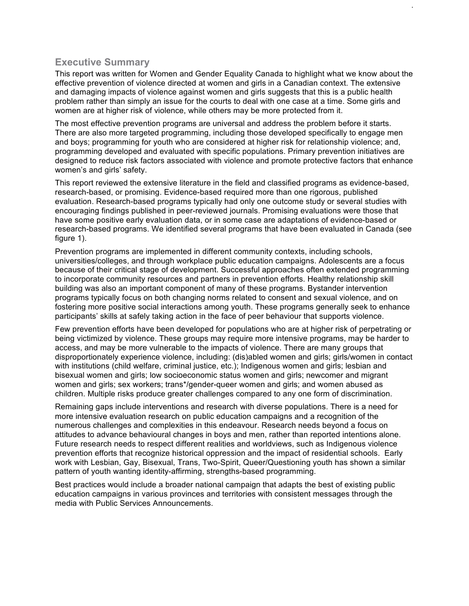#### **Executive Summary**

This report was written for Women and Gender Equality Canada to highlight what we know about the effective prevention of violence directed at women and girls in a Canadian context. The extensive and damaging impacts of violence against women and girls suggests that this is a public health problem rather than simply an issue for the courts to deal with one case at a time. Some girls and women are at higher risk of violence, while others may be more protected from it.

i

The most effective prevention programs are universal and address the problem before it starts. There are also more targeted programming, including those developed specifically to engage men and boys; programming for youth who are considered at higher risk for relationship violence; and, programming developed and evaluated with specific populations. Primary prevention initiatives are designed to reduce risk factors associated with violence and promote protective factors that enhance women's and girls' safety.

This report reviewed the extensive literature in the field and classified programs as evidence-based, research-based, or promising. Evidence-based required more than one rigorous, published evaluation. Research-based programs typically had only one outcome study or several studies with encouraging findings published in peer-reviewed journals. Promising evaluations were those that have some positive early evaluation data, or in some case are adaptations of evidence-based or research-based programs. We identified several programs that have been evaluated in Canada (see figure 1).

Prevention programs are implemented in different community contexts, including schools, universities/colleges, and through workplace public education campaigns. Adolescents are a focus because of their critical stage of development. Successful approaches often extended programming to incorporate community resources and partners in prevention efforts. Healthy relationship skill building was also an important component of many of these programs. Bystander intervention programs typically focus on both changing norms related to consent and sexual violence, and on fostering more positive social interactions among youth. These programs generally seek to enhance participants' skills at safely taking action in the face of peer behaviour that supports violence.

Few prevention efforts have been developed for populations who are at higher risk of perpetrating or being victimized by violence. These groups may require more intensive programs, may be harder to access, and may be more vulnerable to the impacts of violence. There are many groups that disproportionately experience violence, including: (dis)abled women and girls; girls/women in contact with institutions (child welfare, criminal justice, etc.); Indigenous women and girls; lesbian and bisexual women and girls; low socioeconomic status women and girls; newcomer and migrant women and girls; sex workers; trans\*/gender-queer women and girls; and women abused as children. Multiple risks produce greater challenges compared to any one form of discrimination.

Remaining gaps include interventions and research with diverse populations. There is a need for more intensive evaluation research on public education campaigns and a recognition of the numerous challenges and complexities in this endeavour. Research needs beyond a focus on attitudes to advance behavioural changes in boys and men, rather than reported intentions alone. Future research needs to respect different realities and worldviews, such as Indigenous violence prevention efforts that recognize historical oppression and the impact of residential schools. Early work with Lesbian, Gay, Bisexual, Trans, Two-Spirit, Queer/Questioning youth has shown a similar pattern of youth wanting identity-affirming, strengths-based programming.

Best practices would include a broader national campaign that adapts the best of existing public education campaigns in various provinces and territories with consistent messages through the media with Public Services Announcements.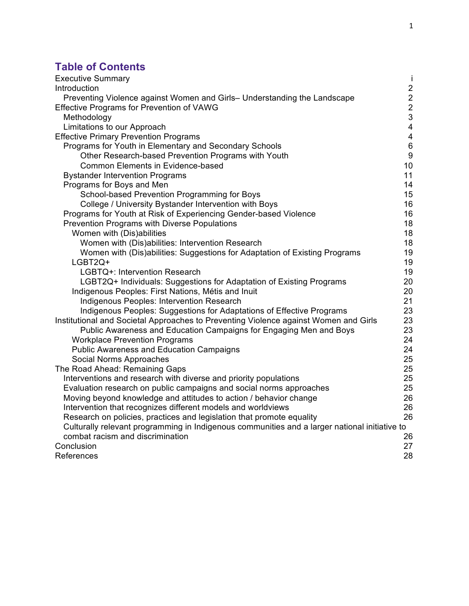### **Table of Contents**

| <b>Executive Summary</b>                                                                      | j                       |
|-----------------------------------------------------------------------------------------------|-------------------------|
| Introduction                                                                                  | $\overline{\mathbf{c}}$ |
| Preventing Violence against Women and Girls- Understanding the Landscape                      | $\overline{\mathbf{c}}$ |
| <b>Effective Programs for Prevention of VAWG</b>                                              | $\frac{2}{3}$           |
| Methodology                                                                                   |                         |
| Limitations to our Approach                                                                   | $\overline{4}$          |
| <b>Effective Primary Prevention Programs</b>                                                  | $\overline{4}$          |
| Programs for Youth in Elementary and Secondary Schools                                        | $6\phantom{1}6$         |
| Other Research-based Prevention Programs with Youth                                           | 9                       |
| <b>Common Elements in Evidence-based</b>                                                      | 10                      |
| <b>Bystander Intervention Programs</b>                                                        | 11                      |
| Programs for Boys and Men                                                                     | 14                      |
| School-based Prevention Programming for Boys                                                  | 15                      |
| College / University Bystander Intervention with Boys                                         | 16                      |
| Programs for Youth at Risk of Experiencing Gender-based Violence                              | 16                      |
| Prevention Programs with Diverse Populations                                                  | 18                      |
| Women with (Dis)abilities                                                                     | 18                      |
| Women with (Dis)abilities: Intervention Research                                              | 18                      |
| Women with (Dis)abilities: Suggestions for Adaptation of Existing Programs                    | 19                      |
| LGBT2Q+                                                                                       | 19                      |
| LGBTQ+: Intervention Research                                                                 | 19                      |
| LGBT2Q+ Individuals: Suggestions for Adaptation of Existing Programs                          | 20                      |
| Indigenous Peoples: First Nations, Métis and Inuit                                            | 20                      |
| Indigenous Peoples: Intervention Research                                                     | 21                      |
| Indigenous Peoples: Suggestions for Adaptations of Effective Programs                         | 23                      |
| Institutional and Societal Approaches to Preventing Violence against Women and Girls          | 23                      |
| Public Awareness and Education Campaigns for Engaging Men and Boys                            | 23                      |
| <b>Workplace Prevention Programs</b>                                                          | 24                      |
| <b>Public Awareness and Education Campaigns</b>                                               | 24                      |
| Social Norms Approaches                                                                       | 25                      |
| The Road Ahead: Remaining Gaps                                                                | 25                      |
| Interventions and research with diverse and priority populations                              | 25                      |
| Evaluation research on public campaigns and social norms approaches                           | 25                      |
| Moving beyond knowledge and attitudes to action / behavior change                             | 26                      |
| Intervention that recognizes different models and worldviews                                  | 26                      |
| Research on policies, practices and legislation that promote equality                         | 26                      |
| Culturally relevant programming in Indigenous communities and a larger national initiative to |                         |
| combat racism and discrimination                                                              | 26                      |
| Conclusion                                                                                    | 27                      |
| References                                                                                    | 28                      |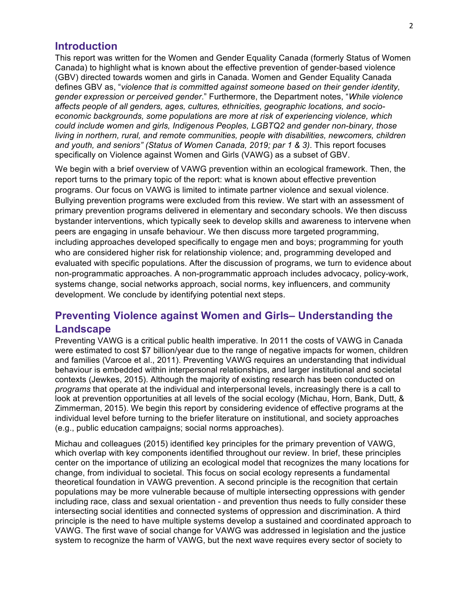#### **Introduction**

This report was written for the Women and Gender Equality Canada (formerly Status of Women Canada) to highlight what is known about the effective prevention of gender-based violence (GBV) directed towards women and girls in Canada. Women and Gender Equality Canada defines GBV as, "*violence that is committed against someone based on their gender identity, gender expression or perceived gender*." Furthermore, the Department notes, "*While violence affects people of all genders, ages, cultures, ethnicities, geographic locations, and socioeconomic backgrounds, some populations are more at risk of experiencing violence, which could include women and girls, Indigenous Peoples, LGBTQ2 and gender non-binary, those living in northern, rural, and remote communities, people with disabilities, newcomers, children and youth, and seniors" (Status of Women Canada, 2019; par 1 & 3)*. This report focuses specifically on Violence against Women and Girls (VAWG) as a subset of GBV.

We begin with a brief overview of VAWG prevention within an ecological framework. Then, the report turns to the primary topic of the report: what is known about effective prevention programs. Our focus on VAWG is limited to intimate partner violence and sexual violence. Bullying prevention programs were excluded from this review. We start with an assessment of primary prevention programs delivered in elementary and secondary schools. We then discuss bystander interventions, which typically seek to develop skills and awareness to intervene when peers are engaging in unsafe behaviour. We then discuss more targeted programming, including approaches developed specifically to engage men and boys; programming for youth who are considered higher risk for relationship violence; and, programming developed and evaluated with specific populations. After the discussion of programs, we turn to evidence about non-programmatic approaches. A non-programmatic approach includes advocacy, policy-work, systems change, social networks approach, social norms, key influencers, and community development. We conclude by identifying potential next steps.

#### **Preventing Violence against Women and Girls– Understanding the Landscape**

Preventing VAWG is a critical public health imperative. In 2011 the costs of VAWG in Canada were estimated to cost \$7 billion/year due to the range of negative impacts for women, children and families (Varcoe et al., 2011). Preventing VAWG requires an understanding that individual behaviour is embedded within interpersonal relationships, and larger institutional and societal contexts (Jewkes, 2015). Although the majority of existing research has been conducted on *programs* that operate at the individual and interpersonal levels, increasingly there is a call to look at prevention opportunities at all levels of the social ecology (Michau, Horn, Bank, Dutt, & Zimmerman, 2015). We begin this report by considering evidence of effective programs at the individual level before turning to the briefer literature on institutional, and society approaches (e.g., public education campaigns; social norms approaches).

Michau and colleagues (2015) identified key principles for the primary prevention of VAWG, which overlap with key components identified throughout our review. In brief, these principles center on the importance of utilizing an ecological model that recognizes the many locations for change, from individual to societal. This focus on social ecology represents a fundamental theoretical foundation in VAWG prevention. A second principle is the recognition that certain populations may be more vulnerable because of multiple intersecting oppressions with gender including race, class and sexual orientation - and prevention thus needs to fully consider these intersecting social identities and connected systems of oppression and discrimination. A third principle is the need to have multiple systems develop a sustained and coordinated approach to VAWG. The first wave of social change for VAWG was addressed in legislation and the justice system to recognize the harm of VAWG, but the next wave requires every sector of society to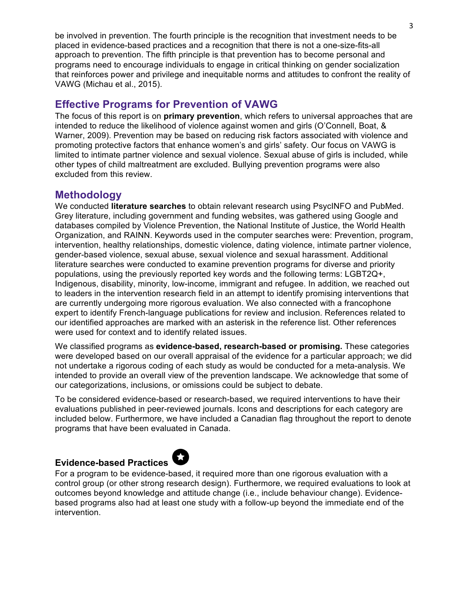be involved in prevention. The fourth principle is the recognition that investment needs to be placed in evidence-based practices and a recognition that there is not a one-size-fits-all approach to prevention. The fifth principle is that prevention has to become personal and programs need to encourage individuals to engage in critical thinking on gender socialization that reinforces power and privilege and inequitable norms and attitudes to confront the reality of VAWG (Michau et al., 2015).

#### **Effective Programs for Prevention of VAWG**

The focus of this report is on **primary prevention**, which refers to universal approaches that are intended to reduce the likelihood of violence against women and girls (O'Connell, Boat, & Warner, 2009). Prevention may be based on reducing risk factors associated with violence and promoting protective factors that enhance women's and girls' safety. Our focus on VAWG is limited to intimate partner violence and sexual violence. Sexual abuse of girls is included, while other types of child maltreatment are excluded. Bullying prevention programs were also excluded from this review.

#### **Methodology**

We conducted **literature searches** to obtain relevant research using PsycINFO and PubMed. Grey literature, including government and funding websites, was gathered using Google and databases compiled by Violence Prevention, the National Institute of Justice, the World Health Organization, and RAINN. Keywords used in the computer searches were: Prevention, program, intervention, healthy relationships, domestic violence, dating violence, intimate partner violence, gender-based violence, sexual abuse, sexual violence and sexual harassment. Additional literature searches were conducted to examine prevention programs for diverse and priority populations, using the previously reported key words and the following terms: LGBT2Q+, Indigenous, disability, minority, low-income, immigrant and refugee. In addition, we reached out to leaders in the intervention research field in an attempt to identify promising interventions that are currently undergoing more rigorous evaluation. We also connected with a francophone expert to identify French-language publications for review and inclusion. References related to our identified approaches are marked with an asterisk in the reference list. Other references were used for context and to identify related issues.

We classified programs as **evidence-based, research-based or promising.** These categories were developed based on our overall appraisal of the evidence for a particular approach; we did not undertake a rigorous coding of each study as would be conducted for a meta-analysis. We intended to provide an overall view of the prevention landscape. We acknowledge that some of our categorizations, inclusions, or omissions could be subject to debate.

To be considered evidence-based or research-based, we required interventions to have their evaluations published in peer-reviewed journals. Icons and descriptions for each category are included below. Furthermore, we have included a Canadian flag throughout the report to denote programs that have been evaluated in Canada.

#### **Evidence-based Practices**



For a program to be evidence-based, it required more than one rigorous evaluation with a control group (or other strong research design). Furthermore, we required evaluations to look at outcomes beyond knowledge and attitude change (i.e., include behaviour change). Evidencebased programs also had at least one study with a follow-up beyond the immediate end of the intervention.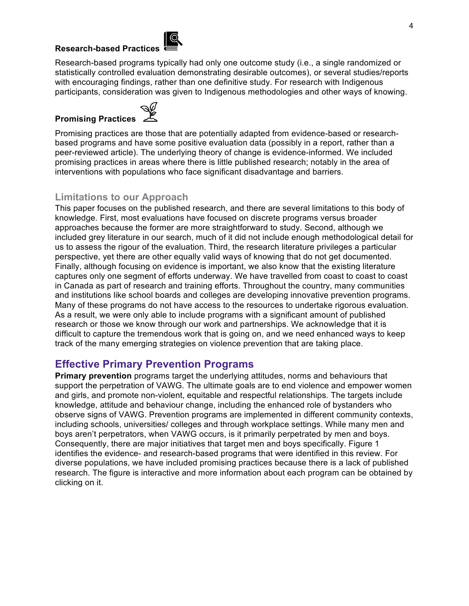#### **Research-based Practices**



Research-based programs typically had only one outcome study (i.e., a single randomized or statistically controlled evaluation demonstrating desirable outcomes), or several studies/reports with encouraging findings, rather than one definitive study. For research with Indigenous participants, consideration was given to Indigenous methodologies and other ways of knowing.

# **Promising Practices**



Promising practices are those that are potentially adapted from evidence-based or researchbased programs and have some positive evaluation data (possibly in a report, rather than a peer-reviewed article). The underlying theory of change is evidence-informed. We included promising practices in areas where there is little published research; notably in the area of interventions with populations who face significant disadvantage and barriers.

#### **Limitations to our Approach**

This paper focuses on the published research, and there are several limitations to this body of knowledge. First, most evaluations have focused on discrete programs versus broader approaches because the former are more straightforward to study. Second, although we included grey literature in our search, much of it did not include enough methodological detail for us to assess the rigour of the evaluation. Third, the research literature privileges a particular perspective, yet there are other equally valid ways of knowing that do not get documented. Finally, although focusing on evidence is important, we also know that the existing literature captures only one segment of efforts underway. We have travelled from coast to coast to coast in Canada as part of research and training efforts. Throughout the country, many communities and institutions like school boards and colleges are developing innovative prevention programs. Many of these programs do not have access to the resources to undertake rigorous evaluation. As a result, we were only able to include programs with a significant amount of published research or those we know through our work and partnerships. We acknowledge that it is difficult to capture the tremendous work that is going on, and we need enhanced ways to keep track of the many emerging strategies on violence prevention that are taking place.

#### **Effective Primary Prevention Programs**

**Primary prevention** programs target the underlying attitudes, norms and behaviours that support the perpetration of VAWG. The ultimate goals are to end violence and empower women and girls, and promote non-violent, equitable and respectful relationships. The targets include knowledge, attitude and behaviour change, including the enhanced role of bystanders who observe signs of VAWG. Prevention programs are implemented in different community contexts, including schools, universities/ colleges and through workplace settings. While many men and boys aren't perpetrators, when VAWG occurs, is it primarily perpetrated by men and boys. Consequently, there are major initiatives that target men and boys specifically. Figure 1 identifies the evidence- and research-based programs that were identified in this review. For diverse populations, we have included promising practices because there is a lack of published research. The figure is interactive and more information about each program can be obtained by clicking on it.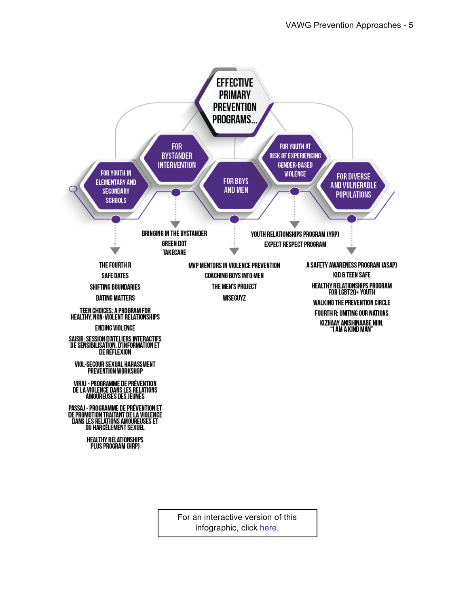

For an interactive version of this infographic, click here.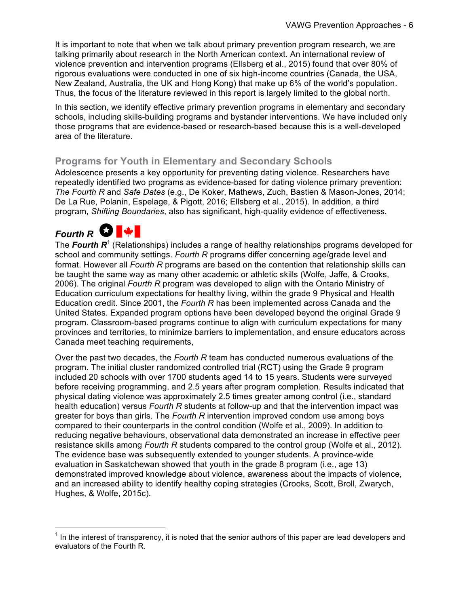It is important to note that when we talk about primary prevention program research, we are talking primarily about research in the North American context. An international review of violence prevention and intervention programs (Ellsberg et al., 2015) found that over 80% of rigorous evaluations were conducted in one of six high-income countries (Canada, the USA, New Zealand, Australia, the UK and Hong Kong) that make up 6% of the world's population. Thus, the focus of the literature reviewed in this report is largely limited to the global north.

In this section, we identify effective primary prevention programs in elementary and secondary schools, including skills-building programs and bystander interventions. We have included only those programs that are evidence-based or research-based because this is a well-developed area of the literature.

#### **Programs for Youth in Elementary and Secondary Schools**

Adolescence presents a key opportunity for preventing dating violence. Researchers have repeatedly identified two programs as evidence-based for dating violence primary prevention: *The Fourth R* and *Safe Dates* (e.g., De Koker, Mathews, Zuch, Bastien & Mason-Jones, 2014; De La Rue, Polanin, Espelage, & Pigott, 2016; Ellsberg et al., 2015). In addition, a third program, *Shifting Boundaries*, also has significant, high-quality evidence of effectiveness.

### *Fourth R*

<u> 1989 - Johann Barn, mars ann an t-Amhain an t-Amhain an t-Amhain an t-Amhain an t-Amhain an t-Amhain an t-Amh</u>

The **Fourth R<sup>1</sup>** (Relationships) includes a range of healthy relationships programs developed for school and community settings. *Fourth R* programs differ concerning age/grade level and format. However all *Fourth R* programs are based on the contention that relationship skills can be taught the same way as many other academic or athletic skills (Wolfe, Jaffe, & Crooks, 2006). The original *Fourth R* program was developed to align with the Ontario Ministry of Education curriculum expectations for healthy living, within the grade 9 Physical and Health Education credit. Since 2001, the *Fourth R* has been implemented across Canada and the United States. Expanded program options have been developed beyond the original Grade 9 program. Classroom-based programs continue to align with curriculum expectations for many provinces and territories, to minimize barriers to implementation, and ensure educators across Canada meet teaching requirements,

Over the past two decades, the *Fourth R* team has conducted numerous evaluations of the program. The initial cluster randomized controlled trial (RCT) using the Grade 9 program included 20 schools with over 1700 students aged 14 to 15 years. Students were surveyed before receiving programming, and 2.5 years after program completion. Results indicated that physical dating violence was approximately 2.5 times greater among control (i.e., standard health education) versus *Fourth R* students at follow-up and that the intervention impact was greater for boys than girls. The *Fourth R* intervention improved condom use among boys compared to their counterparts in the control condition (Wolfe et al., 2009). In addition to reducing negative behaviours, observational data demonstrated an increase in effective peer resistance skills among *Fourth R* students compared to the control group (Wolfe et al., 2012). The evidence base was subsequently extended to younger students. A province-wide evaluation in Saskatchewan showed that youth in the grade 8 program (i.e., age 13) demonstrated improved knowledge about violence, awareness about the impacts of violence, and an increased ability to identify healthy coping strategies (Crooks, Scott, Broll, Zwarych, Hughes, & Wolfe, 2015c).

 $1$  In the interest of transparency, it is noted that the senior authors of this paper are lead developers and evaluators of the Fourth R.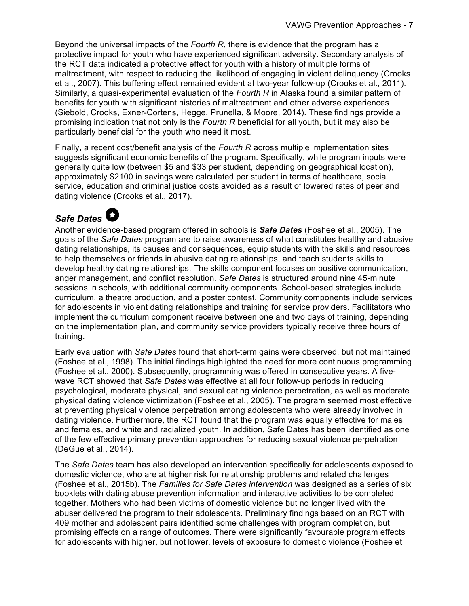Beyond the universal impacts of the *Fourth R*, there is evidence that the program has a protective impact for youth who have experienced significant adversity. Secondary analysis of the RCT data indicated a protective effect for youth with a history of multiple forms of maltreatment, with respect to reducing the likelihood of engaging in violent delinquency (Crooks et al., 2007). This buffering effect remained evident at two-year follow-up (Crooks et al., 2011). Similarly, a quasi-experimental evaluation of the *Fourth R* in Alaska found a similar pattern of benefits for youth with significant histories of maltreatment and other adverse experiences (Siebold, Crooks, Exner-Cortens, Hegge, Prunella, & Moore, 2014). These findings provide a promising indication that not only is the *Fourth R* beneficial for all youth, but it may also be particularly beneficial for the youth who need it most.

Finally, a recent cost/benefit analysis of the *Fourth R* across multiple implementation sites suggests significant economic benefits of the program. Specifically, while program inputs were generally quite low (between \$5 and \$33 per student, depending on geographical location), approximately \$2100 in savings were calculated per student in terms of healthcare, social service, education and criminal justice costs avoided as a result of lowered rates of peer and dating violence (Crooks et al., 2017).

### *Safe Dates*

Another evidence-based program offered in schools is *Safe Dates* (Foshee et al., 2005). The goals of the *Safe Dates* program are to raise awareness of what constitutes healthy and abusive dating relationships, its causes and consequences, equip students with the skills and resources to help themselves or friends in abusive dating relationships, and teach students skills to develop healthy dating relationships. The skills component focuses on positive communication, anger management, and conflict resolution. *Safe Dates* is structured around nine 45-minute sessions in schools, with additional community components. School-based strategies include curriculum, a theatre production, and a poster contest. Community components include services for adolescents in violent dating relationships and training for service providers. Facilitators who implement the curriculum component receive between one and two days of training, depending on the implementation plan, and community service providers typically receive three hours of training.

Early evaluation with *Safe Dates* found that short-term gains were observed, but not maintained (Foshee et al., 1998). The initial findings highlighted the need for more continuous programming (Foshee et al., 2000). Subsequently, programming was offered in consecutive years. A fivewave RCT showed that *Safe Dates* was effective at all four follow-up periods in reducing psychological, moderate physical, and sexual dating violence perpetration, as well as moderate physical dating violence victimization (Foshee et al., 2005). The program seemed most effective at preventing physical violence perpetration among adolescents who were already involved in dating violence. Furthermore, the RCT found that the program was equally effective for males and females, and white and racialized youth. In addition, Safe Dates has been identified as one of the few effective primary prevention approaches for reducing sexual violence perpetration (DeGue et al., 2014).

The *Safe Dates* team has also developed an intervention specifically for adolescents exposed to domestic violence, who are at higher risk for relationship problems and related challenges (Foshee et al., 2015b). The *Families for Safe Dates intervention* was designed as a series of six booklets with dating abuse prevention information and interactive activities to be completed together. Mothers who had been victims of domestic violence but no longer lived with the abuser delivered the program to their adolescents. Preliminary findings based on an RCT with 409 mother and adolescent pairs identified some challenges with program completion, but promising effects on a range of outcomes. There were significantly favourable program effects for adolescents with higher, but not lower, levels of exposure to domestic violence (Foshee et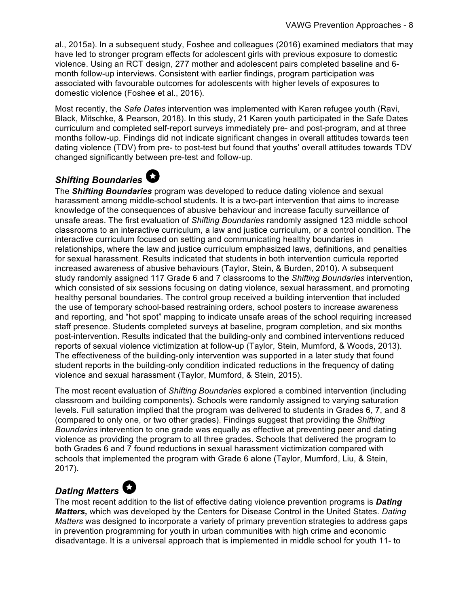al., 2015a). In a subsequent study, Foshee and colleagues (2016) examined mediators that may have led to stronger program effects for adolescent girls with previous exposure to domestic violence. Using an RCT design, 277 mother and adolescent pairs completed baseline and 6 month follow-up interviews. Consistent with earlier findings, program participation was associated with favourable outcomes for adolescents with higher levels of exposures to domestic violence (Foshee et al., 2016).

Most recently, the *Safe Dates* intervention was implemented with Karen refugee youth (Ravi, Black, Mitschke, & Pearson, 2018). In this study, 21 Karen youth participated in the Safe Dates curriculum and completed self-report surveys immediately pre- and post-program, and at three months follow-up. Findings did not indicate significant changes in overall attitudes towards teen dating violence (TDV) from pre- to post-test but found that youths' overall attitudes towards TDV changed significantly between pre-test and follow-up.

### *Shifting Boundaries*

The *Shifting Boundaries* program was developed to reduce dating violence and sexual harassment among middle-school students. It is a two-part intervention that aims to increase knowledge of the consequences of abusive behaviour and increase faculty surveillance of unsafe areas. The first evaluation of *Shifting Boundaries* randomly assigned 123 middle school classrooms to an interactive curriculum, a law and justice curriculum, or a control condition. The interactive curriculum focused on setting and communicating healthy boundaries in relationships, where the law and justice curriculum emphasized laws, definitions, and penalties for sexual harassment. Results indicated that students in both intervention curricula reported increased awareness of abusive behaviours (Taylor, Stein, & Burden, 2010). A subsequent study randomly assigned 117 Grade 6 and 7 classrooms to the *Shifting Boundaries* intervention, which consisted of six sessions focusing on dating violence, sexual harassment, and promoting healthy personal boundaries. The control group received a building intervention that included the use of temporary school-based restraining orders, school posters to increase awareness and reporting, and "hot spot" mapping to indicate unsafe areas of the school requiring increased staff presence. Students completed surveys at baseline, program completion, and six months post-intervention. Results indicated that the building-only and combined interventions reduced reports of sexual violence victimization at follow-up (Taylor, Stein, Mumford, & Woods, 2013). The effectiveness of the building-only intervention was supported in a later study that found student reports in the building-only condition indicated reductions in the frequency of dating violence and sexual harassment (Taylor, Mumford, & Stein, 2015).

The most recent evaluation of *Shifting Boundaries* explored a combined intervention (including classroom and building components). Schools were randomly assigned to varying saturation levels. Full saturation implied that the program was delivered to students in Grades 6, 7, and 8 (compared to only one, or two other grades). Findings suggest that providing the *Shifting Boundaries* intervention to one grade was equally as effective at preventing peer and dating violence as providing the program to all three grades. Schools that delivered the program to both Grades 6 and 7 found reductions in sexual harassment victimization compared with schools that implemented the program with Grade 6 alone (Taylor, Mumford, Liu, & Stein, 2017).

#### *Dating Matters*

The most recent addition to the list of effective dating violence prevention programs is *Dating Matters,* which was developed by the Centers for Disease Control in the United States. *Dating Matters* was designed to incorporate a variety of primary prevention strategies to address gaps in prevention programming for youth in urban communities with high crime and economic disadvantage. It is a universal approach that is implemented in middle school for youth 11- to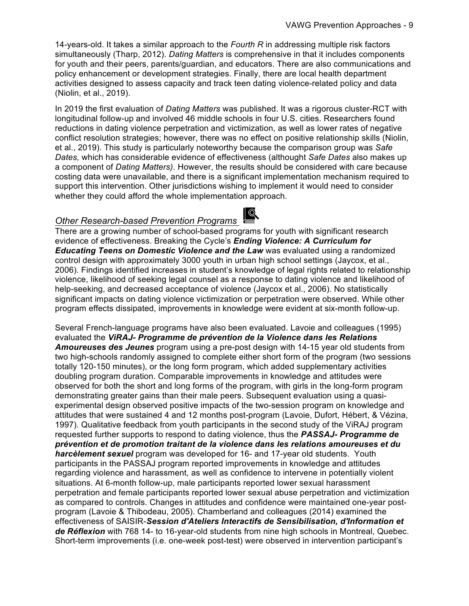14-years-old. It takes a similar approach to the *Fourth R* in addressing multiple risk factors simultaneously (Tharp, 2012). *Dating Matters* is comprehensive in that it includes components for youth and their peers, parents/guardian, and educators. There are also communications and policy enhancement or development strategies. Finally, there are local health department activities designed to assess capacity and track teen dating violence-related policy and data (Niolin, et al., 2019).

In 2019 the first evaluation of *Dating Matters* was published. It was a rigorous cluster-RCT with longitudinal follow-up and involved 46 middle schools in four U.S. cities. Researchers found reductions in dating violence perpetration and victimization, as well as lower rates of negative conflict resolution strategies; however, there was no effect on positive relationship skills (Niolin, et al., 2019). This study is particularly noteworthy because the comparison group was *Safe Dates,* which has considerable evidence of effectiveness (althought *Safe Dates* also makes up a component of *Dating Matters)*. However, the results should be considered with care because costing data were unavailable, and there is a significant implementation mechanism required to support this intervention. Other jurisdictions wishing to implement it would need to consider whether they could afford the whole implementation approach.

#### *Other Research-based Prevention Programs*



There are a growing number of school-based programs for youth with significant research evidence of effectiveness. Breaking the Cycle's *Ending Violence: A Curriculum for Educating Teens on Domestic Violence and the Law* was evaluated using a randomized control design with approximately 3000 youth in urban high school settings (Jaycox, et al., 2006). Findings identified increases in student's knowledge of legal rights related to relationship violence, likelihood of seeking legal counsel as a response to dating violence and likelihood of help-seeking, and decreased acceptance of violence (Jaycox et al., 2006). No statistically significant impacts on dating violence victimization or perpetration were observed. While other program effects dissipated, improvements in knowledge were evident at six-month follow-up.

Several French-language programs have also been evaluated. Lavoie and colleagues (1995) evaluated the *ViRAJ- Programme de prévention de la Violence dans les Relations Amoureuses des Jeunes* program using a pre-post design with 14-15 year old students from two high-schools randomly assigned to complete either short form of the program (two sessions totally 120-150 minutes), or the long form program, which added supplementary activities doubling program duration. Comparable improvements in knowledge and attitudes were observed for both the short and long forms of the program, with girls in the long-form program demonstrating greater gains than their male peers. Subsequent evaluation using a quasiexperimental design observed positive impacts of the two-session program on knowledge and attitudes that were sustained 4 and 12 months post-program (Lavoie, Dufort, Hébert, & Vézina, 1997). Qualitative feedback from youth participants in the second study of the ViRAJ program requested further supports to respond to dating violence, thus the *PASSAJ- Programme de prévention et de promotion traitant de la violence dans les relations amoureuses et du harcèlement sexuel* program was developed for 16- and 17-year old students. Youth participants in the PASSAJ program reported improvements in knowledge and attitudes regarding violence and harassment, as well as confidence to intervene in potentially violent situations. At 6-month follow-up, male participants reported lower sexual harassment perpetration and female participants reported lower sexual abuse perpetration and victimization as compared to controls. Changes in attitudes and confidence were maintained one-year postprogram (Lavoie & Thibodeau, 2005). Chamberland and colleagues (2014) examined the effectiveness of SAISIR-*Session d'Ateliers Interactifs de Sensibilisation, d'Information et de Réflexion* with 768 14- to 16-year-old students from nine high schools in Montreal, Quebec. Short-term improvements (i.e. one-week post-test) were observed in intervention participant's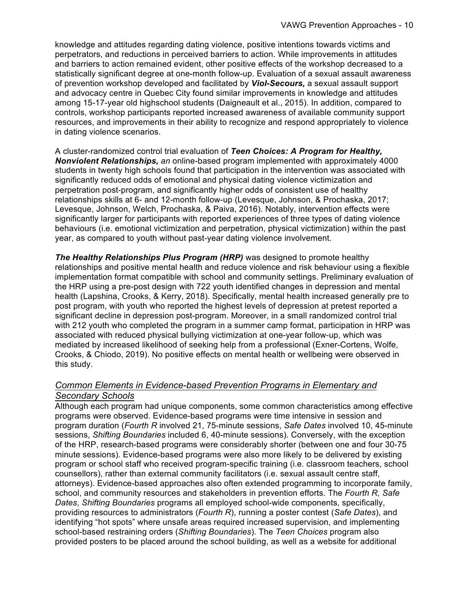knowledge and attitudes regarding dating violence, positive intentions towards victims and perpetrators, and reductions in perceived barriers to action. While improvements in attitudes and barriers to action remained evident, other positive effects of the workshop decreased to a statistically significant degree at one-month follow-up. Evaluation of a sexual assault awareness of prevention workshop developed and facilitated by *Viol-Secours,* a sexual assault support and advocacy centre in Quebec City found similar improvements in knowledge and attitudes among 15-17-year old highschool students (Daigneault et al., 2015). In addition, compared to controls, workshop participants reported increased awareness of available community support resources, and improvements in their ability to recognize and respond appropriately to violence in dating violence scenarios.

A cluster-randomized control trial evaluation of *Teen Choices: A Program for Healthy, Nonviolent Relationships, an* online-based program implemented with approximately 4000 students in twenty high schools found that participation in the intervention was associated with significantly reduced odds of emotional and physical dating violence victimization and perpetration post-program, and significantly higher odds of consistent use of healthy relationships skills at 6- and 12-month follow-up (Levesque, Johnson, & Prochaska, 2017; Levesque, Johnson, Welch, Prochaska, & Paiva, 2016). Notably, intervention effects were significantly larger for participants with reported experiences of three types of dating violence behaviours (i.e. emotional victimization and perpetration, physical victimization) within the past year, as compared to youth without past-year dating violence involvement.

*The Healthy Relationships Plus Program (HRP)* was designed to promote healthy relationships and positive mental health and reduce violence and risk behaviour using a flexible implementation format compatible with school and community settings. Preliminary evaluation of the HRP using a pre-post design with 722 youth identified changes in depression and mental health (Lapshina, Crooks, & Kerry, 2018). Specifically, mental health increased generally pre to post program, with youth who reported the highest levels of depression at pretest reported a significant decline in depression post-program. Moreover, in a small randomized control trial with 212 youth who completed the program in a summer camp format, participation in HRP was associated with reduced physical bullying victimization at one-year follow-up, which was mediated by increased likelihood of seeking help from a professional (Exner-Cortens, Wolfe, Crooks, & Chiodo, 2019). No positive effects on mental health or wellbeing were observed in this study.

#### *Common Elements in Evidence-based Prevention Programs in Elementary and Secondary Schools*

Although each program had unique components, some common characteristics among effective programs were observed. Evidence-based programs were time intensive in session and program duration (*Fourth R* involved 21, 75-minute sessions, *Safe Dates* involved 10, 45-minute sessions, *Shifting Boundaries* included 6, 40-minute sessions). Conversely, with the exception of the HRP, research-based programs were considerably shorter (between one and four 30-75 minute sessions). Evidence-based programs were also more likely to be delivered by existing program or school staff who received program-specific training (i.e. classroom teachers, school counsellors), rather than external community facilitators (i.e. sexual assault centre staff, attorneys). Evidence-based approaches also often extended programming to incorporate family, school, and community resources and stakeholders in prevention efforts. The *Fourth R, Safe Dates*, *Shifting Boundaries* programs all employed school-wide components, specifically, providing resources to administrators (*Fourth R*), running a poster contest (*Safe Dates*), and identifying "hot spots" where unsafe areas required increased supervision, and implementing school-based restraining orders (*Shifting Boundaries*). The *Teen Choices* program also provided posters to be placed around the school building, as well as a website for additional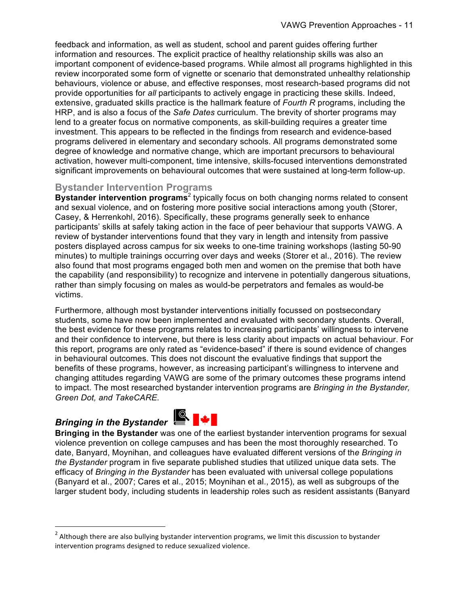feedback and information, as well as student, school and parent guides offering further information and resources. The explicit practice of healthy relationship skills was also an important component of evidence-based programs. While almost all programs highlighted in this review incorporated some form of vignette or scenario that demonstrated unhealthy relationship behaviours, violence or abuse, and effective responses, most research-based programs did not provide opportunities for *all* participants to actively engage in practicing these skills. Indeed, extensive, graduated skills practice is the hallmark feature of *Fourth R* programs, including the HRP, and is also a focus of the *Safe Dates* curriculum. The brevity of shorter programs may lend to a greater focus on normative components, as skill-building requires a greater time investment. This appears to be reflected in the findings from research and evidence-based programs delivered in elementary and secondary schools. All programs demonstrated some degree of knowledge and normative change, which are important precursors to behavioural activation, however multi-component, time intensive, skills-focused interventions demonstrated significant improvements on behavioural outcomes that were sustained at long-term follow-up.

#### **Bystander Intervention Programs**

**Bystander intervention programs**<sup>2</sup> typically focus on both changing norms related to consent and sexual violence, and on fostering more positive social interactions among youth (Storer, Casey, & Herrenkohl, 2016). Specifically, these programs generally seek to enhance participants' skills at safely taking action in the face of peer behaviour that supports VAWG. A review of bystander interventions found that they vary in length and intensity from passive posters displayed across campus for six weeks to one-time training workshops (lasting 50-90 minutes) to multiple trainings occurring over days and weeks (Storer et al., 2016). The review also found that most programs engaged both men and women on the premise that both have the capability (and responsibility) to recognize and intervene in potentially dangerous situations, rather than simply focusing on males as would-be perpetrators and females as would-be victims.

Furthermore, although most bystander interventions initially focussed on postsecondary students, some have now been implemented and evaluated with secondary students. Overall, the best evidence for these programs relates to increasing participants' willingness to intervene and their confidence to intervene, but there is less clarity about impacts on actual behaviour. For this report, programs are only rated as "evidence-based" if there is sound evidence of changes in behavioural outcomes. This does not discount the evaluative findings that support the benefits of these programs, however, as increasing participant's willingness to intervene and changing attitudes regarding VAWG are some of the primary outcomes these programs intend to impact. The most researched bystander intervention programs are *Bringing in the Bystander, Green Dot, and TakeCARE.* 

## **Bringing in the Bystander Ref**

<u> 1989 - Johann Barn, mars ann an t-Amhain an t-Amhain an t-Amhain an t-Amhain an t-Amhain an t-Amhain an t-Amh</u>



**Bringing in the Bystander** was one of the earliest bystander intervention programs for sexual violence prevention on college campuses and has been the most thoroughly researched. To date, Banyard, Moynihan, and colleagues have evaluated different versions of th*e Bringing in the Bystander* program in five separate published studies that utilized unique data sets. The efficacy of *Bringing in the Bystander* has been evaluated with universal college populations (Banyard et al., 2007; Cares et al., 2015; Moynihan et al., 2015), as well as subgroups of the larger student body, including students in leadership roles such as resident assistants (Banyard

 $2$  Although there are also bullying bystander intervention programs, we limit this discussion to bystander intervention programs designed to reduce sexualized violence.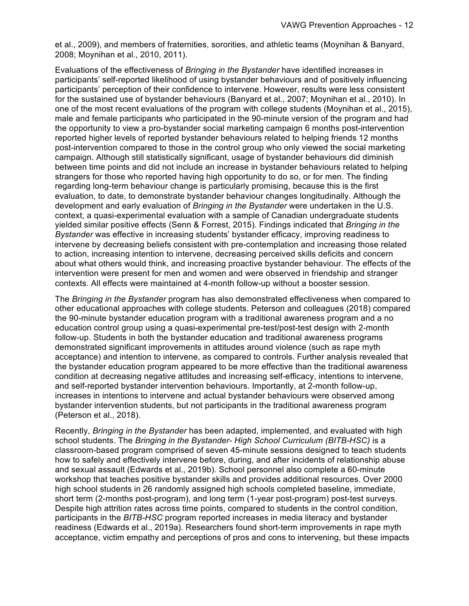et al., 2009), and members of fraternities, sororities, and athletic teams (Moynihan & Banyard, 2008; Moynihan et al., 2010, 2011).

Evaluations of the effectiveness of *Bringing in the Bystander* have identified increases in participants' self-reported likelihood of using bystander behaviours and of positively influencing participants' perception of their confidence to intervene. However, results were less consistent for the sustained use of bystander behaviours (Banyard et al., 2007; Moynihan et al., 2010). In one of the most recent evaluations of the program with college students (Moynihan et al., 2015), male and female participants who participated in the 90-minute version of the program and had the opportunity to view a pro-bystander social marketing campaign 6 months post-intervention reported higher levels of reported bystander behaviours related to helping friends 12 months post-intervention compared to those in the control group who only viewed the social marketing campaign. Although still statistically significant, usage of bystander behaviours did diminish between time points and did not include an increase in bystander behaviours related to helping strangers for those who reported having high opportunity to do so, or for men. The finding regarding long-term behaviour change is particularly promising, because this is the first evaluation, to date, to demonstrate bystander behaviour changes longitudinally. Although the development and early evaluation of *Bringing in the Bystander* were undertaken in the U.S. context, a quasi-experimental evaluation with a sample of Canadian undergraduate students yielded similar positive effects (Senn & Forrest, 2015). Findings indicated that *Bringing in the Bystander* was effective in increasing students' bystander efficacy, improving readiness to intervene by decreasing beliefs consistent with pre-contemplation and increasing those related to action, increasing intention to intervene, decreasing perceived skills deficits and concern about what others would think, and increasing proactive bystander behaviour. The effects of the intervention were present for men and women and were observed in friendship and stranger contexts. All effects were maintained at 4-month follow-up without a booster session.

The *Bringing in the Bystander* program has also demonstrated effectiveness when compared to other educational approaches with college students. Peterson and colleagues (2018) compared the 90-minute bystander education program with a traditional awareness program and a no education control group using a quasi-experimental pre-test/post-test design with 2-month follow-up. Students in both the bystander education and traditional awareness programs demonstrated significant improvements in attitudes around violence (such as rape myth acceptance) and intention to intervene, as compared to controls. Further analysis revealed that the bystander education program appeared to be more effective than the traditional awareness condition at decreasing negative attitudes and increasing self-efficacy, intentions to intervene, and self-reported bystander intervention behaviours. Importantly, at 2-month follow-up, increases in intentions to intervene and actual bystander behaviours were observed among bystander intervention students, but not participants in the traditional awareness program (Peterson et al., 2018).

Recently, *Bringing in the Bystander* has been adapted, implemented, and evaluated with high school students. The *Bringing in the Bystander- High School Curriculum (BITB-HSC)* is a classroom-based program comprised of seven 45-minute sessions designed to teach students how to safely and effectively intervene before, during, and after incidents of relationship abuse and sexual assault (Edwards et al., 2019b). School personnel also complete a 60-minute workshop that teaches positive bystander skills and provides additional resources. Over 2000 high school students in 26 randomly assigned high schools completed baseline, immediate, short term (2-months post-program), and long term (1-year post-program) post-test surveys. Despite high attrition rates across time points, compared to students in the control condition, participants in the *BITB-HSC* program reported increases in media literacy and bystander readiness (Edwards et al., 2019a). Researchers found short-term improvements in rape myth acceptance, victim empathy and perceptions of pros and cons to intervening, but these impacts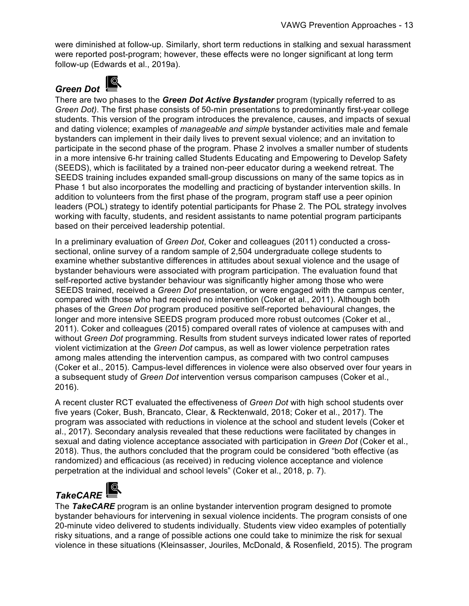were diminished at follow-up. Similarly, short term reductions in stalking and sexual harassment were reported post-program; however, these effects were no longer significant at long term follow-up (Edwards et al., 2019a).

#### $\odot$ *Green Dot*

There are two phases to the *Green Dot Active Bystander* program (typically referred to as *Green Dot)*. The first phase consists of 50-min presentations to predominantly first-year college students. This version of the program introduces the prevalence, causes, and impacts of sexual and dating violence; examples of *manageable and simple* bystander activities male and female bystanders can implement in their daily lives to prevent sexual violence; and an invitation to participate in the second phase of the program. Phase 2 involves a smaller number of students in a more intensive 6-hr training called Students Educating and Empowering to Develop Safety (SEEDS), which is facilitated by a trained non-peer educator during a weekend retreat. The SEEDS training includes expanded small-group discussions on many of the same topics as in Phase 1 but also incorporates the modelling and practicing of bystander intervention skills. In addition to volunteers from the first phase of the program, program staff use a peer opinion leaders (POL) strategy to identify potential participants for Phase 2. The POL strategy involves working with faculty, students, and resident assistants to name potential program participants based on their perceived leadership potential.

In a preliminary evaluation of *Green Dot*, Coker and colleagues (2011) conducted a crosssectional, online survey of a random sample of 2,504 undergraduate college students to examine whether substantive differences in attitudes about sexual violence and the usage of bystander behaviours were associated with program participation. The evaluation found that self-reported active bystander behaviour was significantly higher among those who were SEEDS trained, received a *Green Dot* presentation, or were engaged with the campus center, compared with those who had received no intervention (Coker et al., 2011). Although both phases of the *Green Dot* program produced positive self-reported behavioural changes, the longer and more intensive SEEDS program produced more robust outcomes (Coker et al., 2011). Coker and colleagues (2015) compared overall rates of violence at campuses with and without *Green Dot* programming. Results from student surveys indicated lower rates of reported violent victimization at the *Green Dot* campus, as well as lower violence perpetration rates among males attending the intervention campus, as compared with two control campuses (Coker et al., 2015). Campus-level differences in violence were also observed over four years in a subsequent study of *Green Dot* intervention versus comparison campuses (Coker et al., 2016).

A recent cluster RCT evaluated the effectiveness of *Green Dot* with high school students over five years (Coker, Bush, Brancato, Clear, & Recktenwald, 2018; Coker et al., 2017). The program was associated with reductions in violence at the school and student levels (Coker et al., 2017). Secondary analysis revealed that these reductions were facilitated by changes in sexual and dating violence acceptance associated with participation in *Green Dot* (Coker et al., 2018). Thus, the authors concluded that the program could be considered "both effective (as randomized) and efficacious (as received) in reducing violence acceptance and violence perpetration at the individual and school levels" (Coker et al., 2018, p. 7).

### *TakeCARE*

The *TakeCARE* program is an online bystander intervention program designed to promote bystander behaviours for intervening in sexual violence incidents. The program consists of one 20-minute video delivered to students individually. Students view video examples of potentially risky situations, and a range of possible actions one could take to minimize the risk for sexual violence in these situations (Kleinsasser, Jouriles, McDonald, & Rosenfield, 2015). The program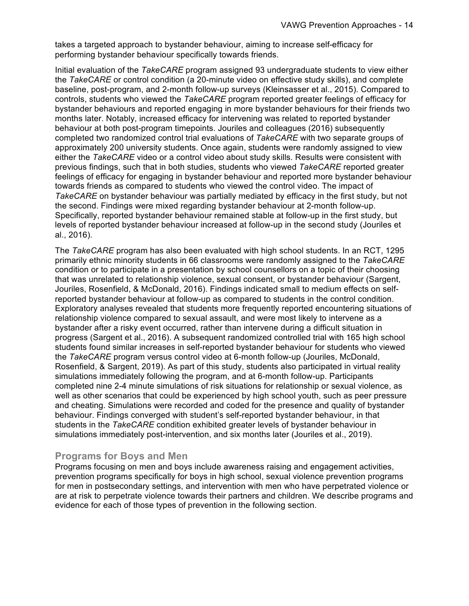takes a targeted approach to bystander behaviour, aiming to increase self-efficacy for performing bystander behaviour specifically towards friends.

Initial evaluation of the *TakeCARE* program assigned 93 undergraduate students to view either the *TakeCARE* or control condition (a 20-minute video on effective study skills), and complete baseline, post-program, and 2-month follow-up surveys (Kleinsasser et al., 2015). Compared to controls, students who viewed the *TakeCARE* program reported greater feelings of efficacy for bystander behaviours and reported engaging in more bystander behaviours for their friends two months later. Notably, increased efficacy for intervening was related to reported bystander behaviour at both post-program timepoints. Jouriles and colleagues (2016) subsequently completed two randomized control trial evaluations of *TakeCARE* with two separate groups of approximately 200 university students. Once again, students were randomly assigned to view either the *TakeCARE* video or a control video about study skills. Results were consistent with previous findings, such that in both studies, students who viewed *TakeCARE* reported greater feelings of efficacy for engaging in bystander behaviour and reported more bystander behaviour towards friends as compared to students who viewed the control video. The impact of *TakeCARE* on bystander behaviour was partially mediated by efficacy in the first study, but not the second. Findings were mixed regarding bystander behaviour at 2-month follow-up. Specifically, reported bystander behaviour remained stable at follow-up in the first study, but levels of reported bystander behaviour increased at follow-up in the second study (Jouriles et al., 2016).

The *TakeCARE* program has also been evaluated with high school students. In an RCT, 1295 primarily ethnic minority students in 66 classrooms were randomly assigned to the *TakeCARE* condition or to participate in a presentation by school counsellors on a topic of their choosing that was unrelated to relationship violence, sexual consent, or bystander behaviour (Sargent, Jouriles, Rosenfield, & McDonald, 2016). Findings indicated small to medium effects on selfreported bystander behaviour at follow-up as compared to students in the control condition. Exploratory analyses revealed that students more frequently reported encountering situations of relationship violence compared to sexual assault, and were most likely to intervene as a bystander after a risky event occurred, rather than intervene during a difficult situation in progress (Sargent et al., 2016). A subsequent randomized controlled trial with 165 high school students found similar increases in self-reported bystander behaviour for students who viewed the *TakeCARE* program versus control video at 6-month follow-up (Jouriles, McDonald, Rosenfield, & Sargent, 2019). As part of this study, students also participated in virtual reality simulations immediately following the program, and at 6-month follow-up. Participants completed nine 2-4 minute simulations of risk situations for relationship or sexual violence, as well as other scenarios that could be experienced by high school youth, such as peer pressure and cheating. Simulations were recorded and coded for the presence and quality of bystander behaviour. Findings converged with student's self-reported bystander behaviour, in that students in the *TakeCARE* condition exhibited greater levels of bystander behaviour in simulations immediately post-intervention, and six months later (Jouriles et al., 2019).

#### **Programs for Boys and Men**

Programs focusing on men and boys include awareness raising and engagement activities, prevention programs specifically for boys in high school, sexual violence prevention programs for men in postsecondary settings, and intervention with men who have perpetrated violence or are at risk to perpetrate violence towards their partners and children. We describe programs and evidence for each of those types of prevention in the following section.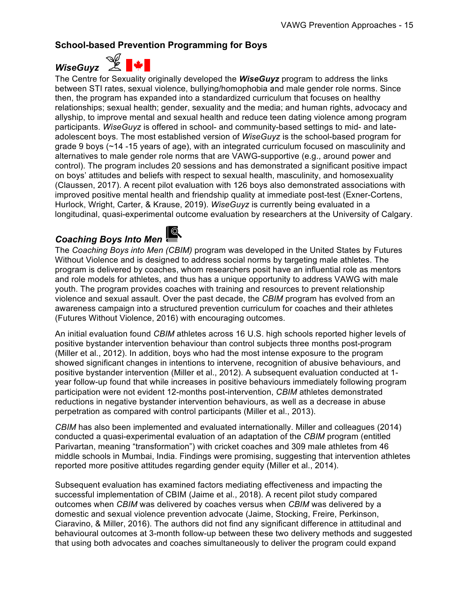#### **School-based Prevention Programming for Boys**

*WiseGuyz* 



The Centre for Sexuality originally developed the *WiseGuyz* program to address the links between STI rates, sexual violence, bullying/homophobia and male gender role norms. Since then, the program has expanded into a standardized curriculum that focuses on healthy relationships; sexual health; gender, sexuality and the media; and human rights, advocacy and allyship, to improve mental and sexual health and reduce teen dating violence among program participants. *WiseGuyz* is offered in school- and community-based settings to mid- and lateadolescent boys. The most established version of *WiseGuyz* is the school-based program for grade 9 boys (~14 -15 years of age), with an integrated curriculum focused on masculinity and alternatives to male gender role norms that are VAWG-supportive (e.g., around power and control). The program includes 20 sessions and has demonstrated a significant positive impact on boys' attitudes and beliefs with respect to sexual health, masculinity, and homosexuality (Claussen, 2017). A recent pilot evaluation with 126 boys also demonstrated associations with improved positive mental health and friendship quality at immediate post-test (Exner-Cortens, Hurlock, Wright, Carter, & Krause, 2019). *WiseGuyz* is currently being evaluated in a longitudinal, quasi-experimental outcome evaluation by researchers at the University of Calgary.

#### *Coaching Boys Into Men*



The *Coaching Boys into Men (CBIM)* program was developed in the United States by Futures Without Violence and is designed to address social norms by targeting male athletes. The program is delivered by coaches, whom researchers posit have an influential role as mentors and role models for athletes, and thus has a unique opportunity to address VAWG with male youth. The program provides coaches with training and resources to prevent relationship violence and sexual assault. Over the past decade, the *CBIM* program has evolved from an awareness campaign into a structured prevention curriculum for coaches and their athletes (Futures Without Violence, 2016) with encouraging outcomes.

An initial evaluation found *CBIM* athletes across 16 U.S. high schools reported higher levels of positive bystander intervention behaviour than control subjects three months post-program (Miller et al., 2012). In addition, boys who had the most intense exposure to the program showed significant changes in intentions to intervene, recognition of abusive behaviours, and positive bystander intervention (Miller et al., 2012). A subsequent evaluation conducted at 1 year follow-up found that while increases in positive behaviours immediately following program participation were not evident 12-months post-intervention, *CBIM* athletes demonstrated reductions in negative bystander intervention behaviours, as well as a decrease in abuse perpetration as compared with control participants (Miller et al., 2013).

*CBIM* has also been implemented and evaluated internationally. Miller and colleagues (2014) conducted a quasi-experimental evaluation of an adaptation of the *CBIM* program (entitled Parivartan, meaning "transformation") with cricket coaches and 309 male athletes from 46 middle schools in Mumbai, India. Findings were promising, suggesting that intervention athletes reported more positive attitudes regarding gender equity (Miller et al., 2014).

Subsequent evaluation has examined factors mediating effectiveness and impacting the successful implementation of CBIM (Jaime et al., 2018). A recent pilot study compared outcomes when *CBIM* was delivered by coaches versus when *CBIM* was delivered by a domestic and sexual violence prevention advocate (Jaime, Stocking, Freire, Perkinson, Ciaravino, & Miller, 2016). The authors did not find any significant difference in attitudinal and behavioural outcomes at 3-month follow-up between these two delivery methods and suggested that using both advocates and coaches simultaneously to deliver the program could expand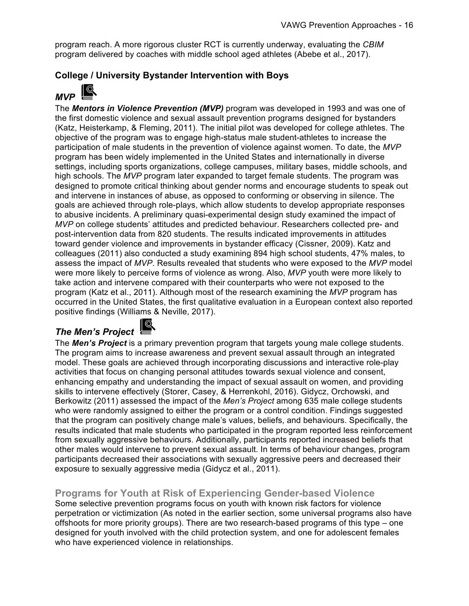program reach. A more rigorous cluster RCT is currently underway, evaluating the *CBIM* program delivered by coaches with middle school aged athletes (Abebe et al., 2017).

#### **College / University Bystander Intervention with Boys**

### $MVP$

The *Mentors in Violence Prevention (MVP)* program was developed in 1993 and was one of the first domestic violence and sexual assault prevention programs designed for bystanders (Katz, Heisterkamp, & Fleming, 2011). The initial pilot was developed for college athletes. The objective of the program was to engage high-status male student-athletes to increase the participation of male students in the prevention of violence against women. To date, the *MVP* program has been widely implemented in the United States and internationally in diverse settings, including sports organizations, college campuses, military bases, middle schools, and high schools. The *MVP* program later expanded to target female students. The program was designed to promote critical thinking about gender norms and encourage students to speak out and intervene in instances of abuse, as opposed to conforming or observing in silence. The goals are achieved through role-plays, which allow students to develop appropriate responses to abusive incidents. A preliminary quasi-experimental design study examined the impact of *MVP* on college students' attitudes and predicted behaviour. Researchers collected pre- and post-intervention data from 820 students. The results indicated improvements in attitudes toward gender violence and improvements in bystander efficacy (Cissner, 2009). Katz and colleagues (2011) also conducted a study examining 894 high school students, 47% males, to assess the impact of *MVP*. Results revealed that students who were exposed to the *MVP* model were more likely to perceive forms of violence as wrong. Also, *MVP* youth were more likely to take action and intervene compared with their counterparts who were not exposed to the program (Katz et al., 2011). Although most of the research examining the *MVP* program has occurred in the United States, the first qualitative evaluation in a European context also reported positive findings (Williams & Neville, 2017).

#### *The Men's Project*

The *Men's Project* is a primary prevention program that targets young male college students. The program aims to increase awareness and prevent sexual assault through an integrated model. These goals are achieved through incorporating discussions and interactive role-play activities that focus on changing personal attitudes towards sexual violence and consent, enhancing empathy and understanding the impact of sexual assault on women, and providing skills to intervene effectively (Storer, Casey, & Herrenkohl, 2016). Gidycz, Orchowski, and Berkowitz (2011) assessed the impact of the *Men's Project* among 635 male college students who were randomly assigned to either the program or a control condition. Findings suggested that the program can positively change male's values, beliefs, and behaviours. Specifically, the results indicated that male students who participated in the program reported less reinforcement from sexually aggressive behaviours. Additionally, participants reported increased beliefs that other males would intervene to prevent sexual assault. In terms of behaviour changes, program participants decreased their associations with sexually aggressive peers and decreased their exposure to sexually aggressive media (Gidycz et al., 2011).

#### **Programs for Youth at Risk of Experiencing Gender-based Violence**

Some selective prevention programs focus on youth with known risk factors for violence perpetration or victimization (As noted in the earlier section, some universal programs also have offshoots for more priority groups). There are two research-based programs of this type – one designed for youth involved with the child protection system, and one for adolescent females who have experienced violence in relationships.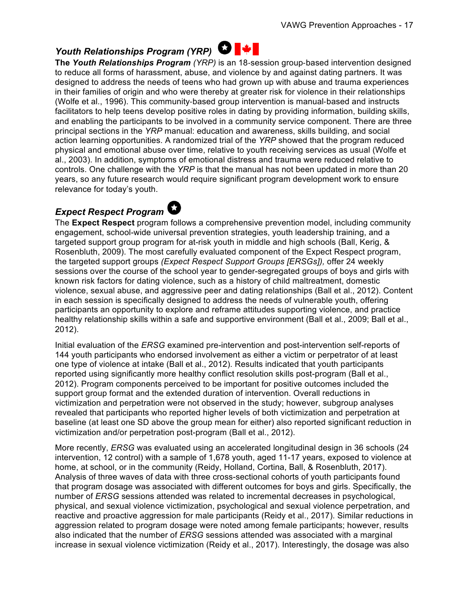### *Youth Relationships Program (YRP)* **○ |** ↓

**The** *Youth Relationships Program (YRP)* is an 18-session group-based intervention designed to reduce all forms of harassment, abuse, and violence by and against dating partners. It was designed to address the needs of teens who had grown up with abuse and trauma experiences in their families of origin and who were thereby at greater risk for violence in their relationships (Wolfe et al., 1996). This community-based group intervention is manual-based and instructs facilitators to help teens develop positive roles in dating by providing information, building skills, and enabling the participants to be involved in a community service component. There are three principal sections in the *YRP* manual: education and awareness, skills building, and social action learning opportunities. A randomized trial of the *YRP* showed that the program reduced physical and emotional abuse over time, relative to youth receiving services as usual (Wolfe et al., 2003). In addition, symptoms of emotional distress and trauma were reduced relative to controls. One challenge with the *YRP* is that the manual has not been updated in more than 20 years, so any future research would require significant program development work to ensure relevance for today's youth.

### *Expect Respect Program*

The **Expect Respect** program follows a comprehensive prevention model, including community engagement, school-wide universal prevention strategies, youth leadership training, and a targeted support group program for at-risk youth in middle and high schools (Ball, Kerig, & Rosenbluth, 2009). The most carefully evaluated component of the Expect Respect program, the targeted support groups *(Expect Respect Support Groups [ERSGs]),* offer 24 weekly sessions over the course of the school year to gender-segregated groups of boys and girls with known risk factors for dating violence, such as a history of child maltreatment, domestic violence, sexual abuse, and aggressive peer and dating relationships (Ball et al., 2012). Content in each session is specifically designed to address the needs of vulnerable youth, offering participants an opportunity to explore and reframe attitudes supporting violence, and practice healthy relationship skills within a safe and supportive environment (Ball et al., 2009; Ball et al., 2012).

Initial evaluation of the *ERSG* examined pre-intervention and post-intervention self-reports of 144 youth participants who endorsed involvement as either a victim or perpetrator of at least one type of violence at intake (Ball et al., 2012). Results indicated that youth participants reported using significantly more healthy conflict resolution skills post-program (Ball et al., 2012). Program components perceived to be important for positive outcomes included the support group format and the extended duration of intervention. Overall reductions in victimization and perpetration were not observed in the study; however, subgroup analyses revealed that participants who reported higher levels of both victimization and perpetration at baseline (at least one SD above the group mean for either) also reported significant reduction in victimization and/or perpetration post-program (Ball et al., 2012).

More recently, *ERSG* was evaluated using an accelerated longitudinal design in 36 schools (24 intervention, 12 control) with a sample of 1,678 youth, aged 11-17 years, exposed to violence at home, at school, or in the community (Reidy, Holland, Cortina, Ball, & Rosenbluth, 2017). Analysis of three waves of data with three cross-sectional cohorts of youth participants found that program dosage was associated with different outcomes for boys and girls. Specifically, the number of *ERSG* sessions attended was related to incremental decreases in psychological, physical, and sexual violence victimization, psychological and sexual violence perpetration, and reactive and proactive aggression for male participants (Reidy et al., 2017). Similar reductions in aggression related to program dosage were noted among female participants; however, results also indicated that the number of *ERSG* sessions attended was associated with a marginal increase in sexual violence victimization (Reidy et al., 2017). Interestingly, the dosage was also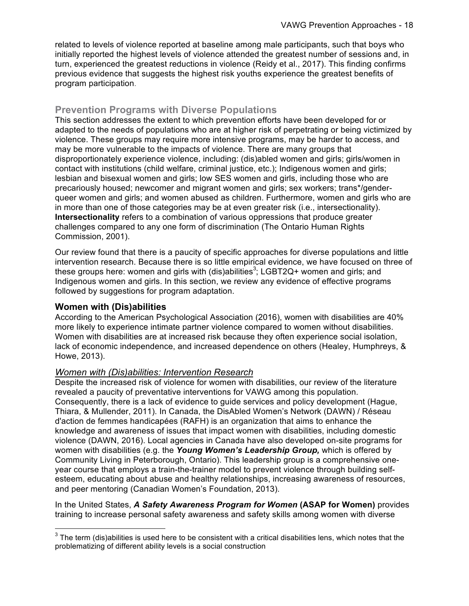related to levels of violence reported at baseline among male participants, such that boys who initially reported the highest levels of violence attended the greatest number of sessions and, in turn, experienced the greatest reductions in violence (Reidy et al., 2017). This finding confirms previous evidence that suggests the highest risk youths experience the greatest benefits of program participation.

#### **Prevention Programs with Diverse Populations**

This section addresses the extent to which prevention efforts have been developed for or adapted to the needs of populations who are at higher risk of perpetrating or being victimized by violence. These groups may require more intensive programs, may be harder to access, and may be more vulnerable to the impacts of violence. There are many groups that disproportionately experience violence, including: (dis)abled women and girls; girls/women in contact with institutions (child welfare, criminal justice, etc.); Indigenous women and girls; lesbian and bisexual women and girls; low SES women and girls, including those who are precariously housed; newcomer and migrant women and girls; sex workers; trans\*/genderqueer women and girls; and women abused as children. Furthermore, women and girls who are in more than one of those categories may be at even greater risk (i.e., intersectionality). **Intersectionality** refers to a combination of various oppressions that produce greater challenges compared to any one form of discrimination (The Ontario Human Rights Commission, 2001).

Our review found that there is a paucity of specific approaches for diverse populations and little intervention research. Because there is so little empirical evidence, we have focused on three of these groups here: women and girls with (dis)abilities<sup>3</sup>; LGBT2Q+ women and girls; and Indigenous women and girls. In this section, we review any evidence of effective programs followed by suggestions for program adaptation.

#### **Women with (Dis)abilities**

According to the American Psychological Association (2016), women with disabilities are 40% more likely to experience intimate partner violence compared to women without disabilities. Women with disabilities are at increased risk because they often experience social isolation, lack of economic independence, and increased dependence on others (Healey, Humphreys, & Howe, 2013).

#### *Women with (Dis)abilities: Intervention Research*

Despite the increased risk of violence for women with disabilities, our review of the literature revealed a paucity of preventative interventions for VAWG among this population. Consequently, there is a lack of evidence to guide services and policy development (Hague, Thiara, & Mullender, 2011). In Canada, the DisAbled Women's Network (DAWN) / Réseau d'action de femmes handicapées (RAFH) is an organization that aims to enhance the knowledge and awareness of issues that impact women with disabilities, including domestic violence (DAWN, 2016). Local agencies in Canada have also developed on-site programs for women with disabilities (e.g. the *Young Women's Leadership Group,* which is offered by Community Living in Peterborough, Ontario). This leadership group is a comprehensive oneyear course that employs a train-the-trainer model to prevent violence through building selfesteem, educating about abuse and healthy relationships, increasing awareness of resources, and peer mentoring (Canadian Women's Foundation, 2013).

In the United States, *A Safety Awareness Program for Women* **(ASAP for Women)** provides training to increase personal safety awareness and safety skills among women with diverse

 $3$  The term (dis)abilities is used here to be consistent with a critical disabilities lens, which notes that the problematizing of different ability levels is a social construction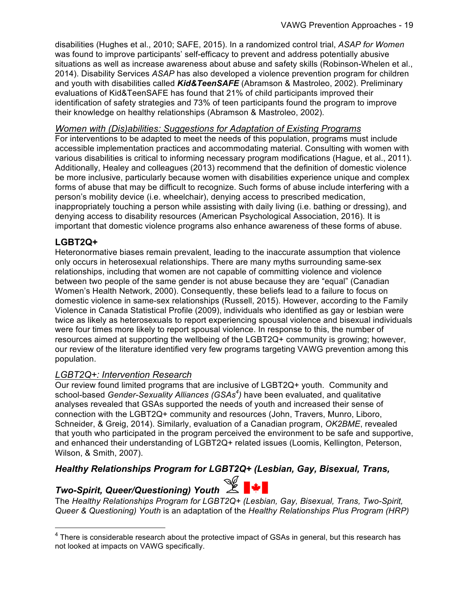disabilities (Hughes et al., 2010; SAFE, 2015). In a randomized control trial, *ASAP for Women* was found to improve participants' self-efficacy to prevent and address potentially abusive situations as well as increase awareness about abuse and safety skills (Robinson-Whelen et al., 2014). Disability Services *ASAP* has also developed a violence prevention program for children and youth with disabilities called *Kid&TeenSAFE* (Abramson & Mastroleo, 2002). Preliminary evaluations of Kid&TeenSAFE has found that 21% of child participants improved their identification of safety strategies and 73% of teen participants found the program to improve their knowledge on healthy relationships (Abramson & Mastroleo, 2002).

#### *Women with (Dis)abilities: Suggestions for Adaptation of Existing Programs*

For interventions to be adapted to meet the needs of this population, programs must include accessible implementation practices and accommodating material. Consulting with women with various disabilities is critical to informing necessary program modifications (Hague, et al., 2011). Additionally, Healey and colleagues (2013) recommend that the definition of domestic violence be more inclusive, particularly because women with disabilities experience unique and complex forms of abuse that may be difficult to recognize. Such forms of abuse include interfering with a person's mobility device (i.e. wheelchair), denying access to prescribed medication, inappropriately touching a person while assisting with daily living (i.e. bathing or dressing), and denying access to disability resources (American Psychological Association, 2016). It is important that domestic violence programs also enhance awareness of these forms of abuse.

#### **LGBT2Q+**

Heteronormative biases remain prevalent, leading to the inaccurate assumption that violence only occurs in heterosexual relationships. There are many myths surrounding same-sex relationships, including that women are not capable of committing violence and violence between two people of the same gender is not abuse because they are "equal" (Canadian Women's Health Network, 2000). Consequently, these beliefs lead to a failure to focus on domestic violence in same-sex relationships (Russell, 2015). However, according to the Family Violence in Canada Statistical Profile (2009), individuals who identified as gay or lesbian were twice as likely as heterosexuals to report experiencing spousal violence and bisexual individuals were four times more likely to report spousal violence. In response to this, the number of resources aimed at supporting the wellbeing of the LGBT2Q+ community is growing; however, our review of the literature identified very few programs targeting VAWG prevention among this population.

#### *LGBT2Q+: Intervention Research*

<u> 1989 - Johann Barn, mars ann an t-Amhain an t-Amhain an t-Amhain an t-Amhain an t-Amhain an t-Amhain an t-Amh</u>

Our review found limited programs that are inclusive of LGBT2Q+ youth. Community and school-based *Gender-Sexuality Alliances (GSAs<sup>4</sup> )* have been evaluated, and qualitative analyses revealed that GSAs supported the needs of youth and increased their sense of connection with the LGBT2Q+ community and resources (John, Travers, Munro, Liboro, Schneider, & Greig, 2014). Similarly, evaluation of a Canadian program, *OK2BME*, revealed that youth who participated in the program perceived the environment to be safe and supportive, and enhanced their understanding of LGBT2Q+ related issues (Loomis, Kellington, Peterson, Wilson, & Smith, 2007).

#### *Healthy Relationships Program for LGBT2Q+ (Lesbian, Gay, Bisexual, Trans,*

## *Two-Spirit, Queer/Questioning) Youth*

The *Healthy Relationships Program for LGBT2Q+ (Lesbian, Gay, Bisexual, Trans, Two-Spirit, Queer & Questioning) Youth* is an adaptation of the *Healthy Relationships Plus Program (HRP)* 

 $4$  There is considerable research about the protective impact of GSAs in general, but this research has not looked at impacts on VAWG specifically.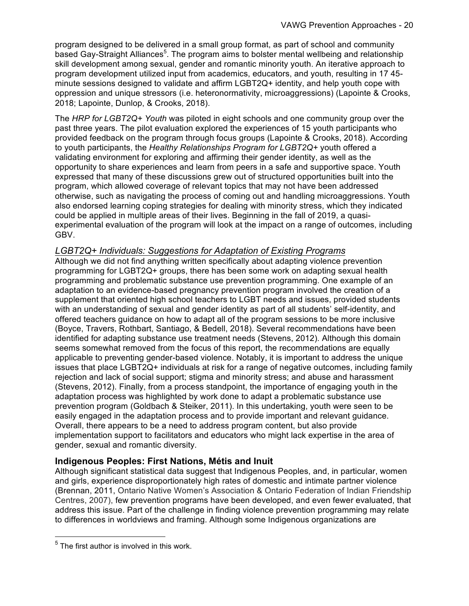program designed to be delivered in a small group format, as part of school and community based Gay-Straight Alliances<sup>5</sup>. The program aims to bolster mental wellbeing and relationship skill development among sexual, gender and romantic minority youth. An iterative approach to program development utilized input from academics, educators, and youth, resulting in 17 45 minute sessions designed to validate and affirm LGBT2Q+ identity, and help youth cope with oppression and unique stressors (i.e. heteronormativity, microaggressions) (Lapointe & Crooks, 2018; Lapointe, Dunlop, & Crooks, 2018).

The *HRP for LGBT2Q+ Youth* was piloted in eight schools and one community group over the past three years. The pilot evaluation explored the experiences of 15 youth participants who provided feedback on the program through focus groups (Lapointe & Crooks, 2018). According to youth participants, the *Healthy Relationships Program for LGBT2Q+* youth offered a validating environment for exploring and affirming their gender identity, as well as the opportunity to share experiences and learn from peers in a safe and supportive space. Youth expressed that many of these discussions grew out of structured opportunities built into the program, which allowed coverage of relevant topics that may not have been addressed otherwise, such as navigating the process of coming out and handling microaggressions. Youth also endorsed learning coping strategies for dealing with minority stress, which they indicated could be applied in multiple areas of their lives. Beginning in the fall of 2019, a quasiexperimental evaluation of the program will look at the impact on a range of outcomes, including GBV.

#### *LGBT2Q+ Individuals: Suggestions for Adaptation of Existing Programs*

Although we did not find anything written specifically about adapting violence prevention programming for LGBT2Q+ groups, there has been some work on adapting sexual health programming and problematic substance use prevention programming. One example of an adaptation to an evidence-based pregnancy prevention program involved the creation of a supplement that oriented high school teachers to LGBT needs and issues, provided students with an understanding of sexual and gender identity as part of all students' self-identity, and offered teachers guidance on how to adapt all of the program sessions to be more inclusive (Boyce, Travers, Rothbart, Santiago, & Bedell, 2018). Several recommendations have been identified for adapting substance use treatment needs (Stevens, 2012). Although this domain seems somewhat removed from the focus of this report, the recommendations are equally applicable to preventing gender-based violence. Notably, it is important to address the unique issues that place LGBT2Q+ individuals at risk for a range of negative outcomes, including family rejection and lack of social support; stigma and minority stress; and abuse and harassment (Stevens, 2012). Finally, from a process standpoint, the importance of engaging youth in the adaptation process was highlighted by work done to adapt a problematic substance use prevention program (Goldbach & Steiker, 2011). In this undertaking, youth were seen to be easily engaged in the adaptation process and to provide important and relevant guidance. Overall, there appears to be a need to address program content, but also provide implementation support to facilitators and educators who might lack expertise in the area of gender, sexual and romantic diversity.

#### **Indigenous Peoples: First Nations, Métis and Inuit**

Although significant statistical data suggest that Indigenous Peoples, and, in particular, women and girls, experience disproportionately high rates of domestic and intimate partner violence (Brennan, 2011, Ontario Native Women's Association & Ontario Federation of Indian Friendship Centres, 2007), few prevention programs have been developed, and even fewer evaluated, that address this issue. Part of the challenge in finding violence prevention programming may relate to differences in worldviews and framing. Although some Indigenous organizations are

<u> 1989 - Johann Barn, mars ann an t-Amhain an t-Amhain an t-Amhain an t-Amhain an t-Amhain an t-Amhain an t-Amh</u>

 $<sup>5</sup>$  The first author is involved in this work.</sup>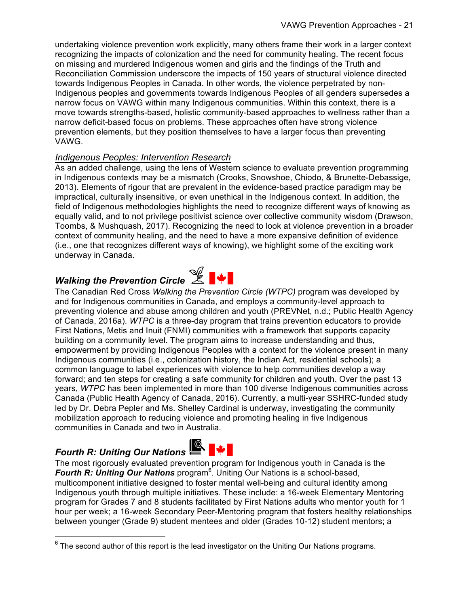undertaking violence prevention work explicitly, many others frame their work in a larger context recognizing the impacts of colonization and the need for community healing. The recent focus on missing and murdered Indigenous women and girls and the findings of the Truth and Reconciliation Commission underscore the impacts of 150 years of structural violence directed towards Indigenous Peoples in Canada. In other words, the violence perpetrated by non-Indigenous peoples and governments towards Indigenous Peoples of all genders supersedes a narrow focus on VAWG within many Indigenous communities. Within this context, there is a move towards strengths-based, holistic community-based approaches to wellness rather than a narrow deficit-based focus on problems. These approaches often have strong violence prevention elements, but they position themselves to have a larger focus than preventing VAWG.

#### *Indigenous Peoples: Intervention Research*

As an added challenge, using the lens of Western science to evaluate prevention programming in Indigenous contexts may be a mismatch (Crooks, Snowshoe, Chiodo, & Brunette-Debassige, 2013). Elements of rigour that are prevalent in the evidence-based practice paradigm may be impractical, culturally insensitive, or even unethical in the Indigenous context. In addition, the field of Indigenous methodologies highlights the need to recognize different ways of knowing as equally valid, and to not privilege positivist science over collective community wisdom (Drawson, Toombs, & Mushquash, 2017). Recognizing the need to look at violence prevention in a broader context of community healing, and the need to have a more expansive definition of evidence (i.e., one that recognizes different ways of knowing), we highlight some of the exciting work underway in Canada.



*Walking the Prevention Circle* <sup>2</sup> P → The Canadian Red Cross *Walking the Prevention Circle (WTPC)* program was developed by and for Indigenous communities in Canada, and employs a community-level approach to preventing violence and abuse among children and youth (PREVNet, n.d.; Public Health Agency of Canada, 2016a). *WTPC* is a three-day program that trains prevention educators to provide First Nations, Metis and Inuit (FNMI) communities with a framework that supports capacity building on a community level. The program aims to increase understanding and thus, empowerment by providing Indigenous Peoples with a context for the violence present in many Indigenous communities (i.e., colonization history, the Indian Act, residential schools); a common language to label experiences with violence to help communities develop a way forward; and ten steps for creating a safe community for children and youth. Over the past 13 years, *WTPC* has been implemented in more than 100 diverse Indigenous communities across Canada (Public Health Agency of Canada, 2016). Currently, a multi-year SSHRC-funded study led by Dr. Debra Pepler and Ms. Shelley Cardinal is underway, investigating the community mobilization approach to reducing violence and promoting healing in five Indigenous communities in Canada and two in Australia.

<u> 1989 - Johann Barn, mars ann an t-Amhain an t-Amhain an t-Amhain an t-Amhain an t-Amhain an t-Amhain an t-Amh</u>



*Fourth R: Uniting Our Nations* The most rigorously evaluated prevention program for Indigenous youth in Canada is the Fourth R: Uniting Our Nations program<sup>6</sup>. Uniting Our Nations is a school-based, multicomponent initiative designed to foster mental well-being and cultural identity among Indigenous youth through multiple initiatives. These include: a 16-week Elementary Mentoring program for Grades 7 and 8 students facilitated by First Nations adults who mentor youth for 1 hour per week; a 16-week Secondary Peer-Mentoring program that fosters healthy relationships between younger (Grade 9) student mentees and older (Grades 10-12) student mentors; a

 $6$  The second author of this report is the lead investigator on the Uniting Our Nations programs.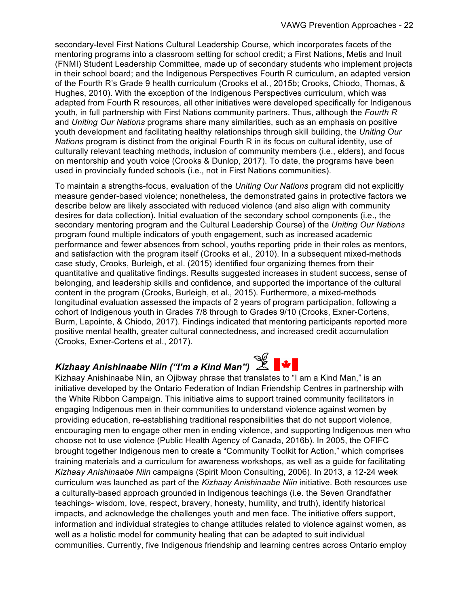secondary-level First Nations Cultural Leadership Course, which incorporates facets of the mentoring programs into a classroom setting for school credit; a First Nations, Metis and Inuit (FNMI) Student Leadership Committee, made up of secondary students who implement projects in their school board; and the Indigenous Perspectives Fourth R curriculum, an adapted version of the Fourth R's Grade 9 health curriculum (Crooks et al., 2015b; Crooks, Chiodo, Thomas, & Hughes, 2010). With the exception of the Indigenous Perspectives curriculum, which was adapted from Fourth R resources, all other initiatives were developed specifically for Indigenous youth, in full partnership with First Nations community partners. Thus, although the *Fourth R*  and *Uniting Our Nations* programs share many similarities, such as an emphasis on positive youth development and facilitating healthy relationships through skill building, the *Uniting Our Nations* program is distinct from the original Fourth R in its focus on cultural identity, use of culturally relevant teaching methods, inclusion of community members (i.e., elders), and focus on mentorship and youth voice (Crooks & Dunlop, 2017). To date, the programs have been used in provincially funded schools (i.e., not in First Nations communities).

To maintain a strengths-focus, evaluation of the *Uniting Our Nations* program did not explicitly measure gender-based violence; nonetheless, the demonstrated gains in protective factors we describe below are likely associated with reduced violence (and also align with community desires for data collection). Initial evaluation of the secondary school components (i.e., the secondary mentoring program and the Cultural Leadership Course) of the *Uniting Our Nations* program found multiple indicators of youth engagement, such as increased academic performance and fewer absences from school, youths reporting pride in their roles as mentors, and satisfaction with the program itself (Crooks et al., 2010). In a subsequent mixed-methods case study, Crooks, Burleigh, et al. (2015) identified four organizing themes from their quantitative and qualitative findings. Results suggested increases in student success, sense of belonging, and leadership skills and confidence, and supported the importance of the cultural content in the program (Crooks, Burleigh, et al., 2015). Furthermore, a mixed-methods longitudinal evaluation assessed the impacts of 2 years of program participation, following a cohort of Indigenous youth in Grades 7/8 through to Grades 9/10 (Crooks, Exner-Cortens, Burm, Lapointe, & Chiodo, 2017). Findings indicated that mentoring participants reported more positive mental health, greater cultural connectedness, and increased credit accumulation (Crooks, Exner-Cortens et al., 2017).

## Kizhaay Anishinaabe Niin ("I'm a Kind Man") <u>△</u> E

Kizhaay Anishinaabe Niin, an Ojibway phrase that translates to "I am a Kind Man," is an initiative developed by the Ontario Federation of Indian Friendship Centres in partnership with the White Ribbon Campaign. This initiative aims to support trained community facilitators in engaging Indigenous men in their communities to understand violence against women by providing education, re-establishing traditional responsibilities that do not support violence, encouraging men to engage other men in ending violence, and supporting Indigenous men who choose not to use violence (Public Health Agency of Canada, 2016b). In 2005, the OFIFC brought together Indigenous men to create a "Community Toolkit for Action," which comprises training materials and a curriculum for awareness workshops, as well as a guide for facilitating *Kizhaay Anishinaabe Niin* campaigns (Spirit Moon Consulting, 2006). In 2013, a 12-24 week curriculum was launched as part of the *Kizhaay Anishinaabe Niin* initiative. Both resources use a culturally-based approach grounded in Indigenous teachings (i.e. the Seven Grandfather teachings- wisdom, love, respect, bravery, honesty, humility, and truth), identify historical impacts, and acknowledge the challenges youth and men face. The initiative offers support, information and individual strategies to change attitudes related to violence against women, as well as a holistic model for community healing that can be adapted to suit individual communities. Currently, five Indigenous friendship and learning centres across Ontario employ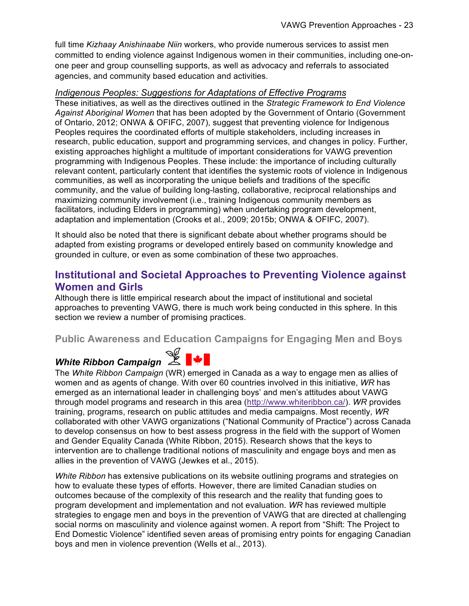full time *Kizhaay Anishinaabe Niin* workers, who provide numerous services to assist men committed to ending violence against Indigenous women in their communities, including one-onone peer and group counselling supports, as well as advocacy and referrals to associated agencies, and community based education and activities.

#### *Indigenous Peoples: Suggestions for Adaptations of Effective Programs*

These initiatives, as well as the directives outlined in the *Strategic Framework to End Violence Against Aboriginal Women* that has been adopted by the Government of Ontario (Government of Ontario, 2012; ONWA & OFIFC, 2007), suggest that preventing violence for Indigenous Peoples requires the coordinated efforts of multiple stakeholders, including increases in research, public education, support and programming services, and changes in policy. Further, existing approaches highlight a multitude of important considerations for VAWG prevention programming with Indigenous Peoples. These include: the importance of including culturally relevant content, particularly content that identifies the systemic roots of violence in Indigenous communities, as well as incorporating the unique beliefs and traditions of the specific community, and the value of building long-lasting, collaborative, reciprocal relationships and maximizing community involvement (i.e., training Indigenous community members as facilitators, including Elders in programming) when undertaking program development, adaptation and implementation (Crooks et al., 2009; 2015b; ONWA & OFIFC, 2007).

It should also be noted that there is significant debate about whether programs should be adapted from existing programs or developed entirely based on community knowledge and grounded in culture, or even as some combination of these two approaches.

#### **Institutional and Societal Approaches to Preventing Violence against Women and Girls**

Although there is little empirical research about the impact of institutional and societal approaches to preventing VAWG, there is much work being conducted in this sphere. In this section we review a number of promising practices.

#### **Public Awareness and Education Campaigns for Engaging Men and Boys**

# *White Ribbon Campaign*  $\mathbb{Z}$  |



The *White Ribbon Campaign* (WR) emerged in Canada as a way to engage men as allies of women and as agents of change. With over 60 countries involved in this initiative, *WR* has emerged as an international leader in challenging boys' and men's attitudes about VAWG through model programs and research in this area (http://www.whiteribbon.ca/). *WR* provides training, programs, research on public attitudes and media campaigns. Most recently, *WR* collaborated with other VAWG organizations ("National Community of Practice") across Canada to develop consensus on how to best assess progress in the field with the support of Women and Gender Equality Canada (White Ribbon, 2015). Research shows that the keys to intervention are to challenge traditional notions of masculinity and engage boys and men as allies in the prevention of VAWG (Jewkes et al., 2015).

*White Ribbon* has extensive publications on its website outlining programs and strategies on how to evaluate these types of efforts. However, there are limited Canadian studies on outcomes because of the complexity of this research and the reality that funding goes to program development and implementation and not evaluation. *WR* has reviewed multiple strategies to engage men and boys in the prevention of VAWG that are directed at challenging social norms on masculinity and violence against women. A report from "Shift: The Project to End Domestic Violence" identified seven areas of promising entry points for engaging Canadian boys and men in violence prevention (Wells et al., 2013).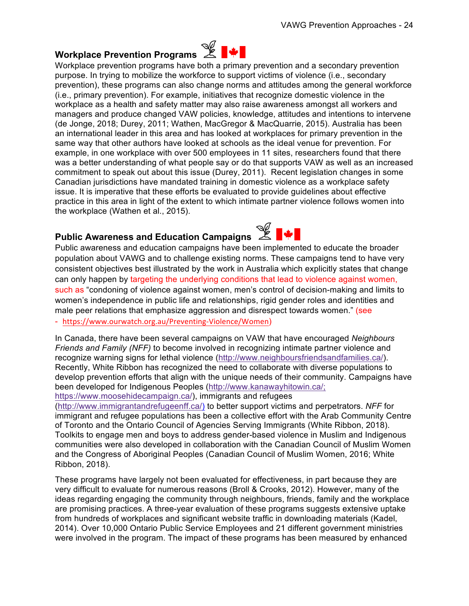## **Workplace Prevention Programs**

Workplace prevention programs have both a primary prevention and a secondary prevention purpose. In trying to mobilize the workforce to support victims of violence (i.e., secondary prevention), these programs can also change norms and attitudes among the general workforce (i.e., primary prevention). For example, initiatives that recognize domestic violence in the workplace as a health and safety matter may also raise awareness amongst all workers and managers and produce changed VAW policies, knowledge, attitudes and intentions to intervene (de Jonge, 2018; Durey, 2011; Wathen, MacGregor & MacQuarrie, 2015). Australia has been an international leader in this area and has looked at workplaces for primary prevention in the same way that other authors have looked at schools as the ideal venue for prevention. For example, in one workplace with over 500 employees in 11 sites, researchers found that there was a better understanding of what people say or do that supports VAW as well as an increased commitment to speak out about this issue (Durey, 2011). Recent legislation changes in some Canadian jurisdictions have mandated training in domestic violence as a workplace safety issue. It is imperative that these efforts be evaluated to provide guidelines about effective practice in this area in light of the extent to which intimate partner violence follows women into the workplace (Wathen et al., 2015).

## **Public Awareness and Education Campaigns &**



- https://www.ourwatch.org.au/Preventing-Violence/Women)

In Canada, there have been several campaigns on VAW that have encouraged *Neighbours Friends and Family (NFF)* to become involved in recognizing intimate partner violence and recognize warning signs for lethal violence (http://www.neighboursfriendsandfamilies.ca/). Recently, White Ribbon has recognized the need to collaborate with diverse populations to develop prevention efforts that align with the unique needs of their community. Campaigns have been developed for Indigenous Peoples (http://www.kanawayhitowin.ca/;

https://www.moosehidecampaign.ca/), immigrants and refugees

(http://www.immigrantandrefugeenff.ca/) to better support victims and perpetrators. *NFF* for immigrant and refugee populations has been a collective effort with the Arab Community Centre of Toronto and the Ontario Council of Agencies Serving Immigrants (White Ribbon, 2018). Toolkits to engage men and boys to address gender-based violence in Muslim and Indigenous communities were also developed in collaboration with the Canadian Council of Muslim Women and the Congress of Aboriginal Peoples (Canadian Council of Muslim Women, 2016; White Ribbon, 2018).

These programs have largely not been evaluated for effectiveness, in part because they are very difficult to evaluate for numerous reasons (Broll & Crooks, 2012). However, many of the ideas regarding engaging the community through neighbours, friends, family and the workplace are promising practices. A three-year evaluation of these programs suggests extensive uptake from hundreds of workplaces and significant website traffic in downloading materials (Kadel, 2014). Over 10,000 Ontario Public Service Employees and 21 different government ministries were involved in the program. The impact of these programs has been measured by enhanced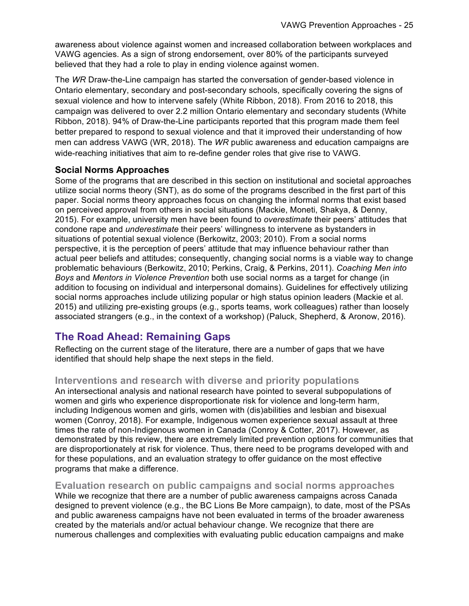awareness about violence against women and increased collaboration between workplaces and VAWG agencies. As a sign of strong endorsement, over 80% of the participants surveyed believed that they had a role to play in ending violence against women.

The *WR* Draw-the-Line campaign has started the conversation of gender-based violence in Ontario elementary, secondary and post-secondary schools, specifically covering the signs of sexual violence and how to intervene safely (White Ribbon, 2018). From 2016 to 2018, this campaign was delivered to over 2.2 million Ontario elementary and secondary students (White Ribbon, 2018). 94% of Draw-the-Line participants reported that this program made them feel better prepared to respond to sexual violence and that it improved their understanding of how men can address VAWG (WR, 2018). The *WR* public awareness and education campaigns are wide-reaching initiatives that aim to re-define gender roles that give rise to VAWG.

#### **Social Norms Approaches**

Some of the programs that are described in this section on institutional and societal approaches utilize social norms theory (SNT), as do some of the programs described in the first part of this paper. Social norms theory approaches focus on changing the informal norms that exist based on perceived approval from others in social situations (Mackie, Moneti, Shakya, & Denny, 2015). For example, university men have been found to *overestimate* their peers' attitudes that condone rape and *underestimate* their peers' willingness to intervene as bystanders in situations of potential sexual violence (Berkowitz, 2003; 2010). From a social norms perspective, it is the perception of peers' attitude that may influence behaviour rather than actual peer beliefs and attitudes; consequently, changing social norms is a viable way to change problematic behaviours (Berkowitz, 2010; Perkins, Craig, & Perkins, 2011). *Coaching Men into Boys* and *Mentors in Violence Prevention* both use social norms as a target for change (in addition to focusing on individual and interpersonal domains). Guidelines for effectively utilizing social norms approaches include utilizing popular or high status opinion leaders (Mackie et al. 2015) and utilizing pre-existing groups (e.g., sports teams, work colleagues) rather than loosely associated strangers (e.g., in the context of a workshop) (Paluck, Shepherd, & Aronow, 2016).

#### **The Road Ahead: Remaining Gaps**

Reflecting on the current stage of the literature, there are a number of gaps that we have identified that should help shape the next steps in the field.

#### **Interventions and research with diverse and priority populations**

An intersectional analysis and national research have pointed to several subpopulations of women and girls who experience disproportionate risk for violence and long-term harm, including Indigenous women and girls, women with (dis)abilities and lesbian and bisexual women (Conroy, 2018). For example, Indigenous women experience sexual assault at three times the rate of non-Indigenous women in Canada (Conroy & Cotter, 2017). However, as demonstrated by this review, there are extremely limited prevention options for communities that are disproportionately at risk for violence. Thus, there need to be programs developed with and for these populations, and an evaluation strategy to offer guidance on the most effective programs that make a difference.

**Evaluation research on public campaigns and social norms approaches** While we recognize that there are a number of public awareness campaigns across Canada designed to prevent violence (e.g., the BC Lions Be More campaign), to date, most of the PSAs and public awareness campaigns have not been evaluated in terms of the broader awareness created by the materials and/or actual behaviour change. We recognize that there are numerous challenges and complexities with evaluating public education campaigns and make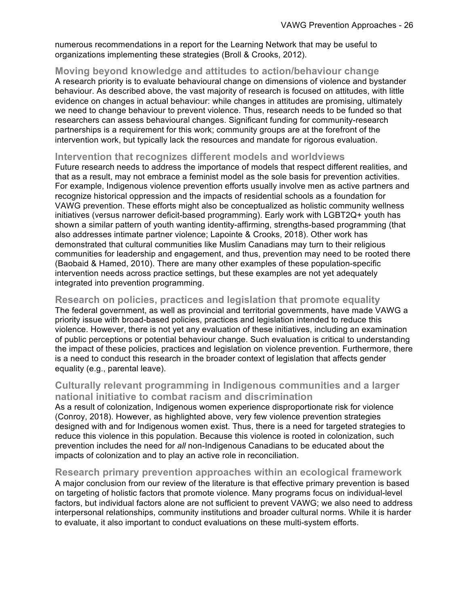numerous recommendations in a report for the Learning Network that may be useful to organizations implementing these strategies (Broll & Crooks, 2012).

#### **Moving beyond knowledge and attitudes to action/behaviour change**

A research priority is to evaluate behavioural change on dimensions of violence and bystander behaviour. As described above, the vast majority of research is focused on attitudes, with little evidence on changes in actual behaviour: while changes in attitudes are promising, ultimately we need to change behaviour to prevent violence. Thus, research needs to be funded so that researchers can assess behavioural changes. Significant funding for community-research partnerships is a requirement for this work; community groups are at the forefront of the intervention work, but typically lack the resources and mandate for rigorous evaluation.

#### **Intervention that recognizes different models and worldviews**

Future research needs to address the importance of models that respect different realities, and that as a result, may not embrace a feminist model as the sole basis for prevention activities. For example, Indigenous violence prevention efforts usually involve men as active partners and recognize historical oppression and the impacts of residential schools as a foundation for VAWG prevention. These efforts might also be conceptualized as holistic community wellness initiatives (versus narrower deficit-based programming). Early work with LGBT2Q+ youth has shown a similar pattern of youth wanting identity-affirming, strengths-based programming (that also addresses intimate partner violence; Lapointe & Crooks, 2018). Other work has demonstrated that cultural communities like Muslim Canadians may turn to their religious communities for leadership and engagement, and thus, prevention may need to be rooted there (Baobaid & Hamed, 2010). There are many other examples of these population-specific intervention needs across practice settings, but these examples are not yet adequately integrated into prevention programming.

#### **Research on policies, practices and legislation that promote equality**

The federal government, as well as provincial and territorial governments, have made VAWG a priority issue with broad-based policies, practices and legislation intended to reduce this violence. However, there is not yet any evaluation of these initiatives, including an examination of public perceptions or potential behaviour change. Such evaluation is critical to understanding the impact of these policies, practices and legislation on violence prevention. Furthermore, there is a need to conduct this research in the broader context of legislation that affects gender equality (e.g., parental leave).

#### **Culturally relevant programming in Indigenous communities and a larger national initiative to combat racism and discrimination**

As a result of colonization, Indigenous women experience disproportionate risk for violence (Conroy, 2018). However, as highlighted above, very few violence prevention strategies designed with and for Indigenous women exist. Thus, there is a need for targeted strategies to reduce this violence in this population. Because this violence is rooted in colonization, such prevention includes the need for *all* non-Indigenous Canadians to be educated about the impacts of colonization and to play an active role in reconciliation.

#### **Research primary prevention approaches within an ecological framework**

A major conclusion from our review of the literature is that effective primary prevention is based on targeting of holistic factors that promote violence. Many programs focus on individual-level factors, but individual factors alone are not sufficient to prevent VAWG; we also need to address interpersonal relationships, community institutions and broader cultural norms. While it is harder to evaluate, it also important to conduct evaluations on these multi-system efforts.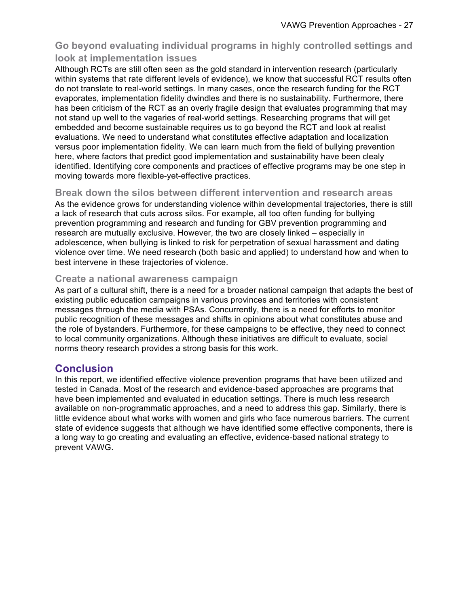#### **Go beyond evaluating individual programs in highly controlled settings and look at implementation issues**

Although RCTs are still often seen as the gold standard in intervention research (particularly within systems that rate different levels of evidence), we know that successful RCT results often do not translate to real-world settings. In many cases, once the research funding for the RCT evaporates, implementation fidelity dwindles and there is no sustainability. Furthermore, there has been criticism of the RCT as an overly fragile design that evaluates programming that may not stand up well to the vagaries of real-world settings. Researching programs that will get embedded and become sustainable requires us to go beyond the RCT and look at realist evaluations. We need to understand what constitutes effective adaptation and localization versus poor implementation fidelity. We can learn much from the field of bullying prevention here, where factors that predict good implementation and sustainability have been clealy identified. Identifying core components and practices of effective programs may be one step in moving towards more flexible-yet-effective practices.

#### **Break down the silos between different intervention and research areas**

As the evidence grows for understanding violence within developmental trajectories, there is still a lack of research that cuts across silos. For example, all too often funding for bullying prevention programming and research and funding for GBV prevention programming and research are mutually exclusive. However, the two are closely linked – especially in adolescence, when bullying is linked to risk for perpetration of sexual harassment and dating violence over time. We need research (both basic and applied) to understand how and when to best intervene in these trajectories of violence.

#### **Create a national awareness campaign**

As part of a cultural shift, there is a need for a broader national campaign that adapts the best of existing public education campaigns in various provinces and territories with consistent messages through the media with PSAs. Concurrently, there is a need for efforts to monitor public recognition of these messages and shifts in opinions about what constitutes abuse and the role of bystanders. Furthermore, for these campaigns to be effective, they need to connect to local community organizations. Although these initiatives are difficult to evaluate, social norms theory research provides a strong basis for this work.

#### **Conclusion**

In this report, we identified effective violence prevention programs that have been utilized and tested in Canada. Most of the research and evidence-based approaches are programs that have been implemented and evaluated in education settings. There is much less research available on non-programmatic approaches, and a need to address this gap. Similarly, there is little evidence about what works with women and girls who face numerous barriers. The current state of evidence suggests that although we have identified some effective components, there is a long way to go creating and evaluating an effective, evidence-based national strategy to prevent VAWG.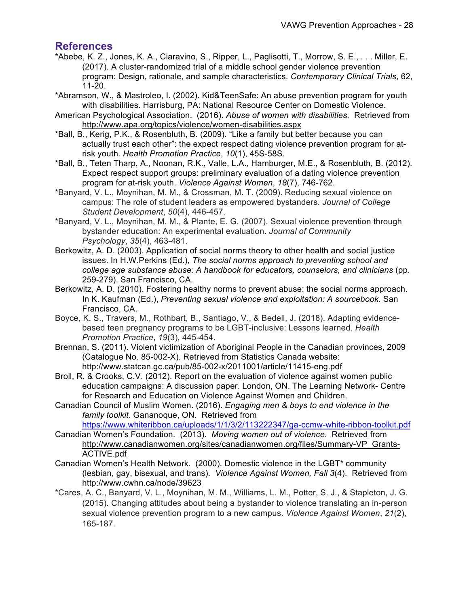#### **References**

- \*Abebe, K. Z., Jones, K. A., Ciaravino, S., Ripper, L., Paglisotti, T., Morrow, S. E., . . . Miller, E. (2017). A cluster-randomized trial of a middle school gender violence prevention program: Design, rationale, and sample characteristics. *Contemporary Clinical Trials*, 62, 11-20.
- \*Abramson, W., & Mastroleo, I. (2002). Kid&TeenSafe: An abuse prevention program for youth with disabilities. Harrisburg, PA: National Resource Center on Domestic Violence.
- American Psychological Association. (2016). *Abuse of women with disabilities.* Retrieved from http://www.apa.org/topics/violence/women-disabilities.aspx
- \*Ball, B., Kerig, P.K., & Rosenbluth, B. (2009). "Like a family but better because you can actually trust each other": the expect respect dating violence prevention program for atrisk youth. *Health Promotion Practice*, *10*(1), 45S-58S.
- \*Ball, B., Teten Tharp, A., Noonan, R.K., Valle, L.A., Hamburger, M.E., & Rosenbluth, B. (2012). Expect respect support groups: preliminary evaluation of a dating violence prevention program for at-risk youth. *Violence Against Women*, *18*(7), 746-762.
- \*Banyard, V. L., Moynihan, M. M., & Crossman, M. T. (2009). Reducing sexual violence on campus: The role of student leaders as empowered bystanders. *Journal of College Student Development*, *50*(4), 446-457.
- \*Banyard, V. L., Moynihan, M. M., & Plante, E. G. (2007). Sexual violence prevention through bystander education: An experimental evaluation. *Journal of Community Psychology*, *35*(4), 463-481.
- Berkowitz, A. D. (2003). Application of social norms theory to other health and social justice issues. In H.W.Perkins (Ed.), *The social norms approach to preventing school and college age substance abuse: A handbook for educators, counselors, and clinicians* (pp. 259-279). San Francisco, CA.
- Berkowitz, A. D. (2010). Fostering healthy norms to prevent abuse: the social norms approach. In K. Kaufman (Ed.), *Preventing sexual violence and exploitation: A sourcebook.* San Francisco, CA.
- Boyce, K. S., Travers, M., Rothbart, B., Santiago, V., & Bedell, J. (2018). Adapting evidencebased teen pregnancy programs to be LGBT-inclusive: Lessons learned. *Health Promotion Practice*, *19*(3), 445-454.
- Brennan, S. (2011). Violent victimization of Aboriginal People in the Canadian provinces, 2009 (Catalogue No. 85-002-X). Retrieved from Statistics Canada website: http://www.statcan.gc.ca/pub/85-002-x/2011001/article/11415-eng.pdf
- Broll, R. & Crooks, C.V. (2012). Report on the evaluation of violence against women public education campaigns: A discussion paper. London, ON. The Learning Network- Centre for Research and Education on Violence Against Women and Children.
- Canadian Council of Muslim Women. (2016). *Engaging men & boys to end violence in the family toolkit.* Gananoque, ON. Retrieved from

https://www.whiteribbon.ca/uploads/1/1/3/2/113222347/ga-ccmw-white-ribbon-toolkit.pdf

- Canadian Women's Foundation. (2013). *Moving women out of violence*. Retrieved from http://www.canadianwomen.org/sites/canadianwomen.org/files/Summary-VP\_Grants-ACTIVE.pdf
- Canadian Women's Health Network. (2000). Domestic violence in the LGBT\* community (lesbian, gay, bisexual, and trans). *Violence Against Women, Fall 3*(4). Retrieved from http://www.cwhn.ca/node/39623
- \*Cares, A. C., Banyard, V. L., Moynihan, M. M., Williams, L. M., Potter, S. J., & Stapleton, J. G. (2015). Changing attitudes about being a bystander to violence translating an in-person sexual violence prevention program to a new campus. *Violence Against Women*, *21*(2), 165-187.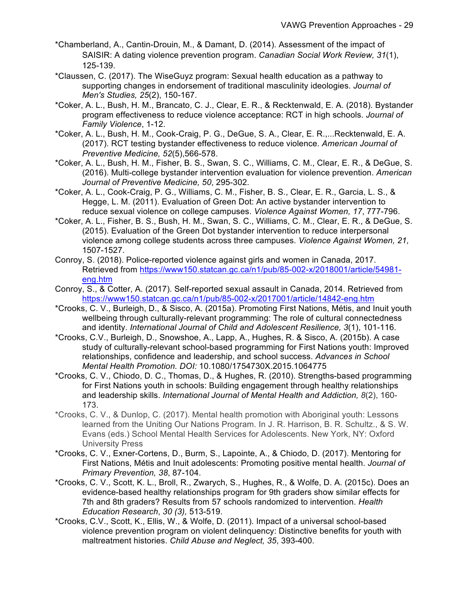- \*Chamberland, A., Cantin-Drouin, M., & Damant, D. (2014). Assessment of the impact of SAISIR: A dating violence prevention program. *Canadian Social Work Review, 31*(1), 125-139.
- \*Claussen, C. (2017). The WiseGuyz program: Sexual health education as a pathway to supporting changes in endorsement of traditional masculinity ideologies. *Journal of Men's Studies, 25*(2), 150-167.
- \*Coker, A. L., Bush, H. M., Brancato, C. J., Clear, E. R., & Recktenwald, E. A. (2018). Bystander program effectiveness to reduce violence acceptance: RCT in high schools. *Journal of Family Violence*, 1-12.
- \*Coker, A. L., Bush, H. M., Cook-Craig, P. G., DeGue, S. A., Clear, E. R.,...Recktenwald, E. A. (2017). RCT testing bystander effectiveness to reduce violence. *American Journal of Preventive Medicine, 52*(5),566-578.
- \*Coker, A. L., Bush, H. M., Fisher, B. S., Swan, S. C., Williams, C. M., Clear, E. R., & DeGue, S. (2016). Multi-college bystander intervention evaluation for violence prevention. *American Journal of Preventive Medicine, 50*, 295-302.
- \*Coker, A. L., Cook-Craig, P. G., Williams, C. M., Fisher, B. S., Clear, E. R., Garcia, L. S., & Hegge, L. M. (2011). Evaluation of Green Dot: An active bystander intervention to reduce sexual violence on college campuses. *Violence Against Women, 17*, 777-796.
- \*Coker, A. L., Fisher, B. S., Bush, H. M., Swan, S. C., Williams, C. M., Clear, E. R., & DeGue, S. (2015). Evaluation of the Green Dot bystander intervention to reduce interpersonal violence among college students across three campuses. *Violence Against Women, 21,* 1507-1527.
- Conroy, S. (2018). Police-reported violence against girls and women in Canada, 2017. Retrieved from https://www150.statcan.gc.ca/n1/pub/85-002-x/2018001/article/54981 eng.htm
- Conroy, S., & Cotter, A. (2017). Self-reported sexual assault in Canada, 2014. Retrieved from https://www150.statcan.gc.ca/n1/pub/85-002-x/2017001/article/14842-eng.htm
- \*Crooks, C. V., Burleigh, D., & Sisco, A. (2015a). Promoting First Nations, Métis, and Inuit youth wellbeing through culturally-relevant programming: The role of cultural connectedness and identity. *International Journal of Child and Adolescent Resilience, 3*(1), 101-116.
- \*Crooks, C.V., Burleigh, D., Snowshoe, A., Lapp, A., Hughes, R. & Sisco, A. (2015b). A case study of culturally-relevant school-based programming for First Nations youth: Improved relationships, confidence and leadership, and school success. *Advances in School Mental Health Promotion. DOI:* 10.1080/1754730X.2015.1064775
- \*Crooks, C. V., Chiodo, D. C., Thomas, D., & Hughes, R. (2010). Strengths-based programming for First Nations youth in schools: Building engagement through healthy relationships and leadership skills. *International Journal of Mental Health and Addiction, 8*(2), 160- 173.
- \*Crooks, C. V., & Dunlop, C. (2017). Mental health promotion with Aboriginal youth: Lessons learned from the Uniting Our Nations Program. In J. R. Harrison, B. R. Schultz., & S. W. Evans (eds.) School Mental Health Services for Adolescents. New York, NY: Oxford University Press
- \*Crooks, C. V., Exner-Cortens, D., Burm, S., Lapointe, A., & Chiodo, D. (2017). Mentoring for First Nations, Métis and Inuit adolescents: Promoting positive mental health. *Journal of Primary Prevention, 38*, 87-104.
- \*Crooks, C. V., Scott, K. L., Broll, R., Zwarych, S., Hughes, R., & Wolfe, D. A. (2015c). Does an evidence-based healthy relationships program for 9th graders show similar effects for 7th and 8th graders? Results from 57 schools randomized to intervention. *Health Education Research*, *30 (3),* 513-519.
- \*Crooks, C.V., Scott, K., Ellis, W., & Wolfe, D. (2011). Impact of a universal school-based violence prevention program on violent delinquency: Distinctive benefits for youth with maltreatment histories. *Child Abuse and Neglect, 35*, 393-400.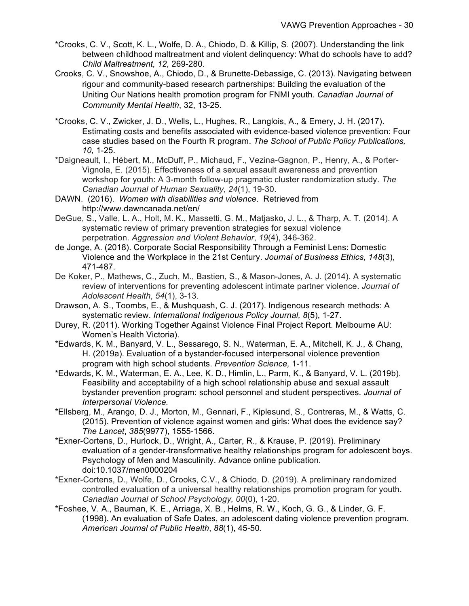- \*Crooks, C. V., Scott, K. L., Wolfe, D. A., Chiodo, D. & Killip, S. (2007). Understanding the link between childhood maltreatment and violent delinquency: What do schools have to add? *Child Maltreatment, 12,* 269-280.
- Crooks, C. V., Snowshoe, A., Chiodo, D., & Brunette-Debassige, C. (2013). Navigating between rigour and community-based research partnerships: Building the evaluation of the Uniting Our Nations health promotion program for FNMI youth. *Canadian Journal of Community Mental Health*, 32, 13-25.
- \*Crooks, C. V., Zwicker, J. D., Wells, L., Hughes, R., Langlois, A., & Emery, J. H. (2017). Estimating costs and benefits associated with evidence-based violence prevention: Four case studies based on the Fourth R program. *The School of Public Policy Publications, 10,* 1-25.
- \*Daigneault, I., Hébert, M., McDuff, P., Michaud, F., Vezina-Gagnon, P., Henry, A., & Porter-Vignola, E. (2015). Effectiveness of a sexual assault awareness and prevention workshop for youth: A 3-month follow-up pragmatic cluster randomization study. *The Canadian Journal of Human Sexuality*, *24*(1), 19-30.
- DAWN. (2016). *Women with disabilities and violence*. Retrieved from http://www.dawncanada.net/en/
- DeGue, S., Valle, L. A., Holt, M. K., Massetti, G. M., Matjasko, J. L., & Tharp, A. T. (2014). A systematic review of primary prevention strategies for sexual violence perpetration. *Aggression and Violent Behavior*, *19*(4), 346-362.
- de Jonge, A. (2018). Corporate Social Responsibility Through a Feminist Lens: Domestic Violence and the Workplace in the 21st Century. *Journal of Business Ethics, 148*(3), 471-487.
- De Koker, P., Mathews, C., Zuch, M., Bastien, S., & Mason-Jones, A. J. (2014). A systematic review of interventions for preventing adolescent intimate partner violence. *Journal of Adolescent Health*, *54*(1), 3-13.
- Drawson, A. S., Toombs, E., & Mushquash, C. J. (2017). Indigenous research methods: A systematic review. *International Indigenous Policy Journal, 8*(5), 1-27.
- Durey, R. (2011). Working Together Against Violence Final Project Report. Melbourne AU: Women's Health Victoria).
- \*Edwards, K. M., Banyard, V. L., Sessarego, S. N., Waterman, E. A., Mitchell, K. J., & Chang, H. (2019a). Evaluation of a bystander-focused interpersonal violence prevention program with high school students. *Prevention Science,* 1-11.
- \*Edwards, K. M., Waterman, E. A., Lee, K. D., Himlin, L., Parm, K., & Banyard, V. L. (2019b). Feasibility and acceptability of a high school relationship abuse and sexual assault bystander prevention program: school personnel and student perspectives. *Journal of Interpersonal Violence.*
- \*Ellsberg, M., Arango, D. J., Morton, M., Gennari, F., Kiplesund, S., Contreras, M., & Watts, C. (2015). Prevention of violence against women and girls: What does the evidence say? *The Lancet*, *385*(9977), 1555-1566.
- \*Exner-Cortens, D., Hurlock, D., Wright, A., Carter, R., & Krause, P. (2019). Preliminary evaluation of a gender-transformative healthy relationships program for adolescent boys. Psychology of Men and Masculinity. Advance online publication. doi:10.1037/men0000204
- \*Exner-Cortens, D., Wolfe, D., Crooks, C.V., & Chiodo, D. (2019). A preliminary randomized controlled evaluation of a universal healthy relationships promotion program for youth. *Canadian Journal of School Psychology, 00*(0), 1-20.
- \*Foshee, V. A., Bauman, K. E., Arriaga, X. B., Helms, R. W., Koch, G. G., & Linder, G. F. (1998). An evaluation of Safe Dates, an adolescent dating violence prevention program. *American Journal of Public Health*, *88*(1), 45-50.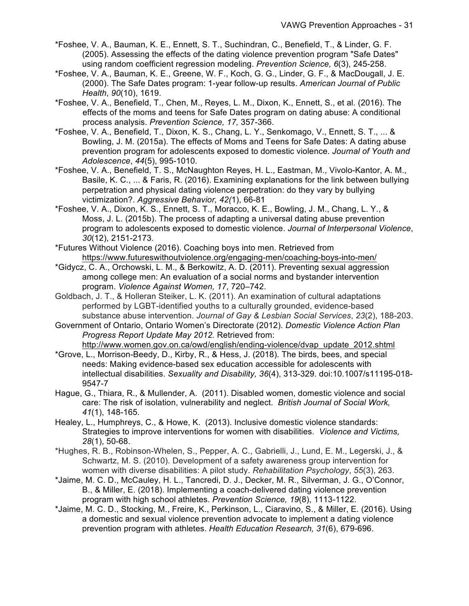- \*Foshee, V. A., Bauman, K. E., Ennett, S. T., Suchindran, C., Benefield, T., & Linder, G. F. (2005). Assessing the effects of the dating violence prevention program "Safe Dates" using random coefficient regression modeling. *Prevention Science, 6*(3), 245-258.
- \*Foshee, V. A., Bauman, K. E., Greene, W. F., Koch, G. G., Linder, G. F., & MacDougall, J. E. (2000). The Safe Dates program: 1-year follow-up results. *American Journal of Public Health*, *90*(10), 1619.
- \*Foshee, V. A., Benefield, T., Chen, M., Reyes, L. M., Dixon, K., Ennett, S., et al. (2016). The effects of the moms and teens for Safe Dates program on dating abuse: A conditional process analysis. *Prevention Science, 17,* 357-366.
- \*Foshee, V. A., Benefield, T., Dixon, K. S., Chang, L. Y., Senkomago, V., Ennett, S. T., ... & Bowling, J. M. (2015a). The effects of Moms and Teens for Safe Dates: A dating abuse prevention program for adolescents exposed to domestic violence. *Journal of Youth and Adolescence*, *44*(5), 995-1010.
- \*Foshee, V. A., Benefield, T. S., McNaughton Reyes, H. L., Eastman, M., Vivolo-Kantor, A. M., Basile, K. C., ... & Faris, R. (2016). Examining explanations for the link between bullying perpetration and physical dating violence perpetration: do they vary by bullying victimization?. *Aggressive Behavior, 42(*1), 66-81
- \*Foshee, V. A., Dixon, K. S., Ennett, S. T., Moracco, K. E., Bowling, J. M., Chang, L. Y., & Moss, J. L. (2015b). The process of adapting a universal dating abuse prevention program to adolescents exposed to domestic violence. *Journal of Interpersonal Violence*, *30*(12), 2151-2173.
- \*Futures Without Violence (2016). Coaching boys into men. Retrieved from https://www.futureswithoutviolence.org/engaging-men/coaching-boys-into-men/
- \*Gidycz, C. A., Orchowski, L. M., & Berkowitz, A. D. (2011). Preventing sexual aggression among college men: An evaluation of a social norms and bystander intervention program. *Violence Against Women, 17*, 720–742.
- Goldbach, J. T., & Holleran Steiker, L. K. (2011). An examination of cultural adaptations performed by LGBT-identified youths to a culturally grounded, evidence-based substance abuse intervention. *Journal of Gay & Lesbian Social Services*, *23*(2), 188-203.
- Government of Ontario, Ontario Women's Directorate (2012). *Domestic Violence Action Plan Progress Report Update May 2012.* Retrieved from: http://www.women.gov.on.ca/owd/english/ending-violence/dvap\_update\_2012.shtml
- \*Grove, L., Morrison-Beedy, D., Kirby, R., & Hess, J. (2018). The birds, bees, and special needs: Making evidence-based sex education accessible for adolescents with intellectual disabilities. *Sexuality and Disability, 36*(4), 313-329. doi:10.1007/s11195-018- 9547-7
- Hague, G., Thiara, R., & Mullender, A. (2011). Disabled women, domestic violence and social care: The risk of isolation, vulnerability and neglect. *British Journal of Social Work, 41*(1), 148-165.
- Healey, L., Humphreys, C., & Howe, K. (2013). Inclusive domestic violence standards: Strategies to improve interventions for women with disabilities. *Violence and Victims, 28*(1), 50-68.
- \*Hughes, R. B., Robinson-Whelen, S., Pepper, A. C., Gabrielli, J., Lund, E. M., Legerski, J., & Schwartz, M. S. (2010). Development of a safety awareness group intervention for women with diverse disabilities: A pilot study. *Rehabilitation Psychology*, *55*(3), 263.
- \*Jaime, M. C. D., McCauley, H. L., Tancredi, D. J., Decker, M. R., Silverman, J. G., O'Connor, B., & Miller, E. (2018). Implementing a coach-delivered dating violence prevention program with high school athletes. *Prevention Science, 19*(8), 1113-1122.
- \*Jaime, M. C. D., Stocking, M., Freire, K., Perkinson, L., Ciaravino, S., & Miller, E. (2016). Using a domestic and sexual violence prevention advocate to implement a dating violence prevention program with athletes. *Health Education Research, 31*(6), 679-696.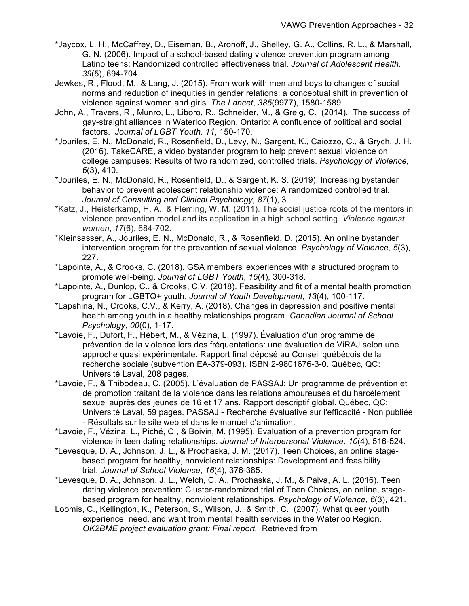- \*Jaycox, L. H., McCaffrey, D., Eiseman, B., Aronoff, J., Shelley, G. A., Collins, R. L., & Marshall, G. N. (2006). Impact of a school-based dating violence prevention program among Latino teens: Randomized controlled effectiveness trial. *Journal of Adolescent Health, 39*(5), 694-704.
- Jewkes, R., Flood, M., & Lang, J. (2015). From work with men and boys to changes of social norms and reduction of inequities in gender relations: a conceptual shift in prevention of violence against women and girls. *The Lancet*, *385*(9977), 1580-1589.
- John, A., Travers, R., Munro, L., Liboro, R., Schneider, M., & Greig, C. (2014). The success of gay-straight alliances in Waterloo Region, Ontario: A confluence of political and social factors. *Journal of LGBT Youth, 11*, 150-170.
- \*Jouriles, E. N., McDonald, R., Rosenfield, D., Levy, N., Sargent, K., Caiozzo, C., & Grych, J. H. (2016). TakeCARE, a video bystander program to help prevent sexual violence on college campuses: Results of two randomized, controlled trials. *Psychology of Violence, 6*(3), 410.
- \*Jouriles, E. N., McDonald, R., Rosenfield, D., & Sargent, K. S. (2019). Increasing bystander behavior to prevent adolescent relationship violence: A randomized controlled trial. *Journal of Consulting and Clinical Psychology, 87*(1), 3.
- \*Katz, J., Heisterkamp, H. A., & Fleming, W. M. (2011). The social justice roots of the mentors in violence prevention model and its application in a high school setting. *Violence against women*, *17*(6), 684-702.
- \*Kleinsasser, A., Jouriles, E. N., McDonald, R., & Rosenfield, D. (2015). An online bystander intervention program for the prevention of sexual violence. *Psychology of Violence, 5*(3), 227.
- \*Lapointe, A., & Crooks, C. (2018). GSA members' experiences with a structured program to promote well-being. *Journal of LGBT Youth*, *15*(4), 300-318.
- \*Lapointe, A., Dunlop, C., & Crooks, C.V. (2018). Feasibility and fit of a mental health promotion program for LGBTQ+ youth. *Journal of Youth Development, 13*(4), 100-117.
- \*Lapshina, N., Crooks, C.V., & Kerry, A. (2018). Changes in depression and positive mental health among youth in a healthy relationships program. *Canadian Journal of School Psychology, 00*(0), 1-17.
- \*Lavoie, F., Dufort, F., Hébert, M., & Vézina, L. (1997). Évaluation d'un programme de prévention de la violence lors des fréquentations: une évaluation de ViRAJ selon une approche quasi expérimentale. Rapport final déposé au Conseil québécois de la recherche sociale (subvention EA-379-093). ISBN 2-9801676-3-0. Québec, QC: Université Laval, 208 pages.
- \*Lavoie, F., & Thibodeau, C. (2005). L'évaluation de PASSAJ: Un programme de prévention et de promotion traitant de la violence dans les relations amoureuses et du harcèlement sexuel auprès des jeunes de 16 et 17 ans. Rapport descriptif global. Québec, QC: Université Laval, 59 pages. PASSAJ - Recherche évaluative sur l'efficacité - Non publiée - Résultats sur le site web et dans le manuel d'animation.
- \*Lavoie, F., Vézina, L., Piché, C., & Boivin, M. (1995). Evaluation of a prevention program for violence in teen dating relationships. *Journal of Interpersonal Violence, 10*(4), 516-524.
- \*Levesque, D. A., Johnson, J. L., & Prochaska, J. M. (2017). Teen Choices, an online stagebased program for healthy, nonviolent relationships: Development and feasibility trial. *Journal of School Violence*, *16*(4), 376-385.
- \*Levesque, D. A., Johnson, J. L., Welch, C. A., Prochaska, J. M., & Paiva, A. L. (2016). Teen dating violence prevention: Cluster-randomized trial of Teen Choices, an online, stagebased program for healthy, nonviolent relationships. *Psychology of Violence*, *6*(3), 421.
- Loomis, C., Kellington, K., Peterson, S., Wilson, J., & Smith, C. (2007). What queer youth experience, need, and want from mental health services in the Waterloo Region. *OK2BME project evaluation grant: Final report.* Retrieved from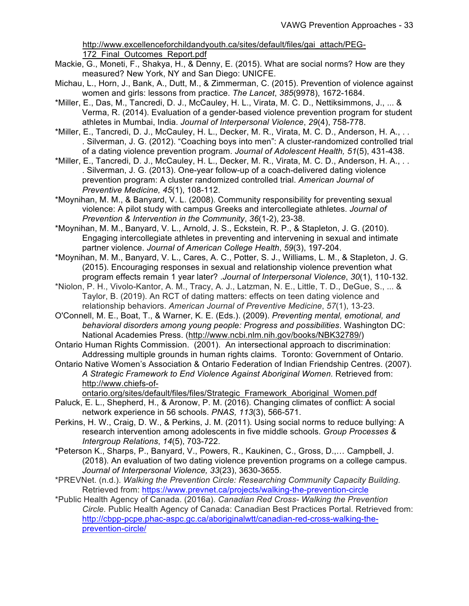http://www.excellenceforchildandyouth.ca/sites/default/files/gai\_attach/PEG-172 Final Outcomes Report.pdf

- Mackie, G., Moneti, F., Shakya, H., & Denny, E. (2015). What are social norms? How are they measured? New York, NY and San Diego: UNICFE.
- Michau, L., Horn, J., Bank, A., Dutt, M., & Zimmerman, C. (2015). Prevention of violence against women and girls: lessons from practice. *The Lancet*, *385*(9978), 1672-1684.
- \*Miller, E., Das, M., Tancredi, D. J., McCauley, H. L., Virata, M. C. D., Nettiksimmons, J., ... & Verma, R. (2014). Evaluation of a gender-based violence prevention program for student athletes in Mumbai, India. *Journal of Interpersonal Violence*, *29*(4), 758-778.
- \*Miller, E., Tancredi, D. J., McCauley, H. L., Decker, M. R., Virata, M. C. D., Anderson, H. A., . . . Silverman, J. G. (2012). "Coaching boys into men": A cluster-randomized controlled trial of a dating violence prevention program. *Journal of Adolescent Health, 51*(5), 431-438.
- \*Miller, E., Tancredi, D. J., McCauley, H. L., Decker, M. R., Virata, M. C. D., Anderson, H. A., . . . Silverman, J. G. (2013). One-year follow-up of a coach-delivered dating violence prevention program: A cluster randomized controlled trial. *American Journal of Preventive Medicine, 45*(1), 108-112.
- \*Moynihan, M. M., & Banyard, V. L. (2008). Community responsibility for preventing sexual violence: A pilot study with campus Greeks and intercollegiate athletes. *Journal of Prevention & Intervention in the Community*, *36*(1-2), 23-38.
- \*Moynihan, M. M., Banyard, V. L., Arnold, J. S., Eckstein, R. P., & Stapleton, J. G. (2010). Engaging intercollegiate athletes in preventing and intervening in sexual and intimate partner violence. *Journal of American College Health*, *59*(3), 197-204.
- \*Moynihan, M. M., Banyard, V. L., Cares, A. C., Potter, S. J., Williams, L. M., & Stapleton, J. G. (2015). Encouraging responses in sexual and relationship violence prevention what program effects remain 1 year later? .*Journal of Interpersonal Violence*, *30*(1), 110-132.
- \*Niolon, P. H., Vivolo-Kantor, A. M., Tracy, A. J., Latzman, N. E., Little, T. D., DeGue, S., ... & Taylor, B. (2019). An RCT of dating matters: effects on teen dating violence and relationship behaviors. *American Journal of Preventive Medicine*, *57*(1), 13-23.
- O'Connell, M. E., Boat, T., & Warner, K. E. (Eds.). (2009). *Preventing mental, emotional, and behavioral disorders among young people: Progress and possibilities*. Washington DC: National Academies Press. (http://www.ncbi.nlm.nih.gov/books/NBK32789/)
- Ontario Human Rights Commission. (2001). An intersectional approach to discrimination: Addressing multiple grounds in human rights claims. Toronto: Government of Ontario.
- Ontario Native Women's Association & Ontario Federation of Indian Friendship Centres. (2007). *A Strategic Framework to End Violence Against Aboriginal Women.* Retrieved from: http://www.chiefs-of-
- ontario.org/sites/default/files/files/Strategic\_Framework\_Aboriginal\_Women.pdf Paluck, E. L., Shepherd, H., & Aronow, P. M. (2016). Changing climates of conflict: A social network experience in 56 schools. *PNAS, 113*(3), 566-571.
- Perkins, H. W., Craig, D. W., & Perkins, J. M. (2011). Using social norms to reduce bullying: A research intervention among adolescents in five middle schools. *Group Processes & Intergroup Relations*, *14*(5), 703-722.
- \*Peterson K., Sharps, P., Banyard, V., Powers, R., Kaukinen, C., Gross, D.,… Campbell, J. (2018). An evaluation of two dating violence prevention programs on a college campus. *Journal of Interpersonal Violence, 33*(23), 3630-3655.
- \*PREVNet. (n.d.). *Walking the Prevention Circle: Researching Community Capacity Building.*  Retrieved from: https://www.prevnet.ca/projects/walking-the-prevention-circle
- \*Public Health Agency of Canada. (2016a). *Canadian Red Cross- Walking the Prevention Circle.* Public Health Agency of Canada: Canadian Best Practices Portal. Retrieved from: http://cbpp-pcpe.phac-aspc.gc.ca/aboriginalwtt/canadian-red-cross-walking-theprevention-circle/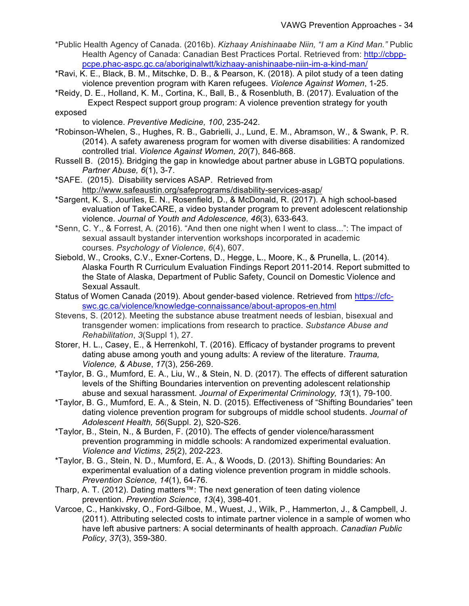- \*Public Health Agency of Canada. (2016b). *Kizhaay Anishinaabe Niin, "I am a Kind Man."* Public Health Agency of Canada: Canadian Best Practices Portal. Retrieved from: http://cbpppcpe.phac-aspc.gc.ca/aboriginalwtt/kizhaay-anishinaabe-niin-im-a-kind-man/
- \*Ravi, K. E., Black, B. M., Mitschke, D. B., & Pearson, K. (2018). A pilot study of a teen dating violence prevention program with Karen refugees. *Violence Against Women*, 1-25.
- \*Reidy, D. E., Holland, K. M., Cortina, K., Ball, B., & Rosenbluth, B. (2017). Evaluation of the Expect Respect support group program: A violence prevention strategy for youth
- exposed
	- to violence. *Preventive Medicine, 100*, 235-242.
- \*Robinson-Whelen, S., Hughes, R. B., Gabrielli, J., Lund, E. M., Abramson, W., & Swank, P. R. (2014). A safety awareness program for women with diverse disabilities: A randomized controlled trial. *Violence Against Women, 20*(7), 846-868.
- Russell B. (2015). Bridging the gap in knowledge about partner abuse in LGBTQ populations. *Partner Abuse, 6*(1), 3-7.
- \*SAFE. (2015). Disability services ASAP. Retrieved from http://www.safeaustin.org/safeprograms/disability-services-asap/
- \*Sargent, K. S., Jouriles, E. N., Rosenfield, D., & McDonald, R. (2017). A high school-based evaluation of TakeCARE, a video bystander program to prevent adolescent relationship violence. *Journal of Youth and Adolescence, 46*(3), 633-643.
- \*Senn, C. Y., & Forrest, A. (2016). "And then one night when I went to class...": The impact of sexual assault bystander intervention workshops incorporated in academic courses. *Psychology of Violence*, *6*(4), 607.
- Siebold, W., Crooks, C.V., Exner-Cortens, D., Hegge, L., Moore, K., & Prunella, L. (2014). Alaska Fourth R Curriculum Evaluation Findings Report 2011-2014. Report submitted to the State of Alaska, Department of Public Safety, Council on Domestic Violence and Sexual Assault.
- Status of Women Canada (2019). About gender-based violence. Retrieved from https://cfcswc.gc.ca/violence/knowledge-connaissance/about-apropos-en.html
- Stevens, S. (2012). Meeting the substance abuse treatment needs of lesbian, bisexual and transgender women: implications from research to practice. *Substance Abuse and Rehabilitation*, *3*(Suppl 1), 27.
- Storer, H. L., Casey, E., & Herrenkohl, T. (2016). Efficacy of bystander programs to prevent dating abuse among youth and young adults: A review of the literature. *Trauma, Violence, & Abuse*, *17*(3), 256-269.
- \*Taylor, B. G., Mumford, E. A., Liu, W., & Stein, N. D. (2017). The effects of different saturation levels of the Shifting Boundaries intervention on preventing adolescent relationship abuse and sexual harassment. *Journal of Experimental Criminology, 13*(1), 79-100.
- \*Taylor, B. G., Mumford, E. A., & Stein, N. D. (2015). Effectiveness of "Shifting Boundaries" teen dating violence prevention program for subgroups of middle school students. *Journal of Adolescent Health, 56*(Suppl. 2), S20-S26.
- \*Taylor, B., Stein, N., & Burden, F. (2010). The effects of gender violence/harassment prevention programming in middle schools: A randomized experimental evaluation. *Violence and Victims*, *25*(2), 202-223.
- \*Taylor, B. G., Stein, N. D., Mumford, E. A., & Woods, D. (2013). Shifting Boundaries: An experimental evaluation of a dating violence prevention program in middle schools. *Prevention Science, 14*(1), 64-76.
- Tharp, A. T. (2012). Dating matters™: The next generation of teen dating violence prevention. *Prevention Science*, *13*(4), 398-401.
- Varcoe, C., Hankivsky, O., Ford-Gilboe, M., Wuest, J., Wilk, P., Hammerton, J., & Campbell, J. (2011). Attributing selected costs to intimate partner violence in a sample of women who have left abusive partners: A social determinants of health approach. *Canadian Public Policy*, *37*(3), 359-380.